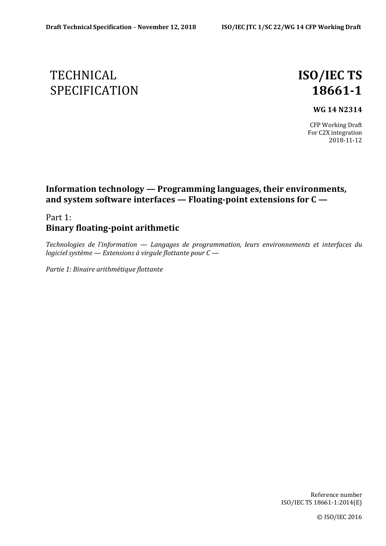# TECHNICAL **ISO/IEC TS** SPECIFICATION **18661-1**

**WG 14 N2314**

CFP Working Draft For C2X integration 2018-11-12

# **Information technology — Programming languages, their environments,** and system software interfaces — Floating-point extensions for  $C -$

# Part 1: **Binary floating-point arithmetic**

*Technologies de l'information* — *Langages de programmation, leurs environnements et interfaces du logiciel système* — *Extensions* à virgule flottante pour  $C$  —

*Partie 1: Binaire arithmétique flottante* 

Reference number ISO/IEC TS 18661-1:2014(E)

© ISO/IEC 2016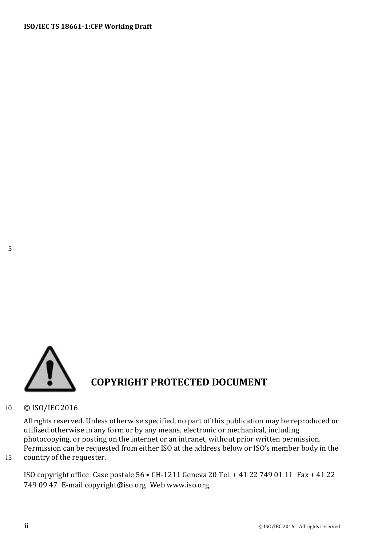

10 © ISO/IEC 2016

All rights reserved. Unless otherwise specified, no part of this publication may be reproduced or utilized otherwise in any form or by any means, electronic or mechanical, including photocopying, or posting on the internet or an intranet, without prior written permission. Permission can be requested from either ISO at the address below or ISO's member body in the 15 country of the requester.

ISO copyright office Case postale 56 • CH-1211 Geneva 20 Tel. + 41 22 749 01 11 Fax + 41 22 749 09 47 E-mail copyright@iso.org Web www.iso.org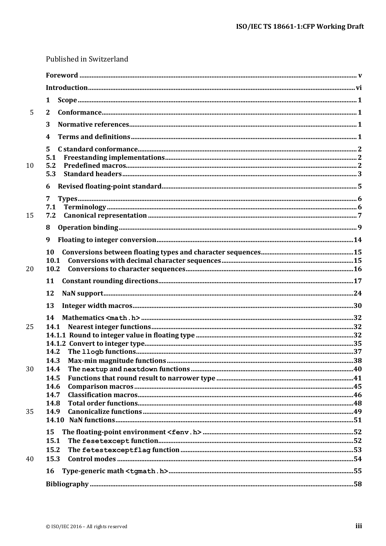|    | 1                       |  |
|----|-------------------------|--|
| 5  | $\mathbf{2}$            |  |
|    |                         |  |
|    | 3                       |  |
|    | $\overline{\mathbf{4}}$ |  |
|    | 5<br>5.1                |  |
| 10 | 5.2                     |  |
|    | 5.3                     |  |
|    | 6                       |  |
|    | 7                       |  |
|    | 7.1                     |  |
| 15 | 7.2                     |  |
|    | 8                       |  |
|    | 9                       |  |
|    | 10                      |  |
| 20 | 10.1<br>10.2            |  |
|    |                         |  |
|    | 11                      |  |
|    | 12                      |  |
|    | 13                      |  |
|    | 14                      |  |
| 25 | 14.1                    |  |
|    |                         |  |
|    | 14.2                    |  |
|    | 14.3                    |  |
| 30 | 14.4                    |  |
|    | 14.5                    |  |
|    | <b>14.6</b>             |  |
|    | 14.7                    |  |
| 35 | 14.8<br>14.9            |  |
|    |                         |  |
|    | 15                      |  |
|    | 15.1                    |  |
|    | 15.2                    |  |
| 40 | 15.3                    |  |
|    | 16                      |  |
|    |                         |  |

Published in Switzerland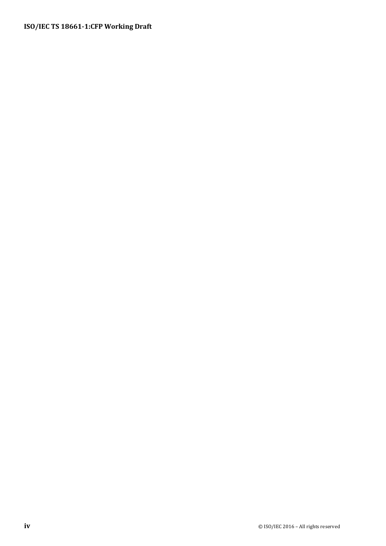# **ISO/IEC TS 18661-1:CFP Working Draft**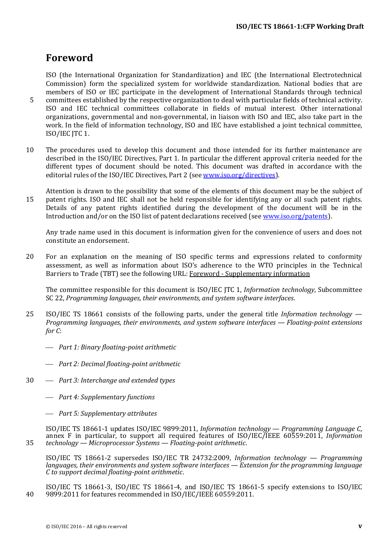# **Foreword**

ISO (the International Organization for Standardization) and IEC (the International Electrotechnical Commission) form the specialized system for worldwide standardization. National bodies that are members of ISO or IEC participate in the development of International Standards through technical 5 committees established by the respective organization to deal with particular fields of technical activity. ISO and IEC technical committees collaborate in fields of mutual interest. Other international organizations, governmental and non-governmental, in liaison with ISO and IEC, also take part in the

- work. In the field of information technology, ISO and IEC have established a joint technical committee, ISO/IEC JTC 1. 10 The procedures used to develop this document and those intended for its further maintenance are
- described in the ISO/IEC Directives, Part 1. In particular the different approval criteria needed for the different types of document should be noted. This document was drafted in accordance with the editorial rules of the ISO/IEC Directives, Part 2 (see www.iso.org/directives).
- Attention is drawn to the possibility that some of the elements of this document may be the subject of 15 patent rights. ISO and IEC shall not be held responsible for identifying any or all such patent rights. Details of any patent rights identified during the development of the document will be in the Introduction and/or on the ISO list of patent declarations received (see www.iso.org/patents).

Any trade name used in this document is information given for the convenience of users and does not constitute an endorsement.

20 For an explanation on the meaning of ISO specific terms and expressions related to conformity assessment, as well as information about ISO's adherence to the WTO principles in the Technical Barriers to Trade (TBT) see the following URL: Foreword - Supplementary information

The committee responsible for this document is ISO/IEC JTC 1, *Information technology*, Subcommittee SC 22, *Programming languages, their environments, and system software interfaces.* 

- 25 ISO/IEC TS 18661 consists of the following parts, under the general title *Information technology Programming languages, their environments, and system software interfaces — Floating-point extensions for* C:
	- ¾ *Part 1: Binary floating-point arithmetic*
	- ¾ *Part 2: Decimal floating-point arithmetic*
- 30 ¾ *Part 3: Interchange and extended types*
	- ¾ *Part 4: Supplementary functions*
	- ¾ *Part 5: Supplementary attributes*

ISO/IEC TS 18661-1 updates ISO/IEC 9899:2011, Information technology — Programming Language C, annex F in particular, to support all required features of ISO/IEC/IEEE 60559:2011, Information 35 *technology — Microprocessor Systems — Floating-point arithmetic*.

ISO/IEC TS 18661-2 supersedes ISO/IEC TR 24732:2009, *Information technology — Programming languages, their environments and system software interfaces — Extension for the programming language C to support decimal floating-point arithmetic*.

ISO/IEC TS 18661-3, ISO/IEC TS 18661-4, and ISO/IEC TS 18661-5 specify extensions to ISO/IEC 40 9899:2011 for features recommended in ISO/IEC/IEEE 60559:2011.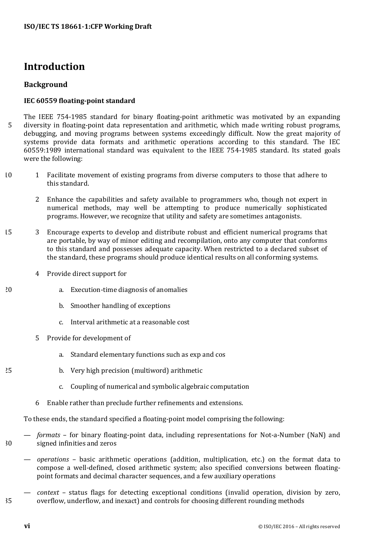# **Introduction**

# **Background**

# **IEC 60559 floating-point standard**

- The IEEE 754-1985 standard for binary floating-point arithmetic was motivated by an expanding 5 diversity in floating-point data representation and arithmetic, which made writing robust programs, debugging, and moving programs between systems exceedingly difficult. Now the great majority of systems provide data formats and arithmetic operations according to this standard. The IEC 60559:1989 international standard was equivalent to the IEEE 754-1985 standard. Its stated goals were the following:
- 10 1 1 Facilitate movement of existing programs from diverse computers to those that adhere to this standard.
	- 2 Enhance the capabilities and safety available to programmers who, though not expert in numerical methods, may well be attempting to produce numerically sophisticated programs. However, we recognize that utility and safety are sometimes antagonists.
- 15 3 Encourage experts to develop and distribute robust and efficient numerical programs that are portable, by way of minor editing and recompilation, onto any computer that conforms to this standard and possesses adequate capacity. When restricted to a declared subset of the standard, these programs should produce identical results on all conforming systems.
	- 4 Provide direct support for
- 20 a. Execution-time diagnosis of anomalies
	- b. Smoother handling of exceptions
	- c. Interval arithmetic at a reasonable cost
	- 5 Provide for development of
		- a. Standard elementary functions such as exp and cos
- 25 b. Very high precision (multiword) arithmetic
	- c. Coupling of numerical and symbolic algebraic computation
	- $6$  Enable rather than preclude further refinements and extensions.

To these ends, the standard specified a floating-point model comprising the following:

- formats for binary floating-point data, including representations for Not-a-Number (NaN) and 30 signed infinities and zeros
	- operations basic arithmetic operations (addition, multiplication, etc.) on the format data to compose a well-defined, closed arithmetic system; also specified conversions between floatingpoint formats and decimal character sequences, and a few auxiliary operations
- context status flags for detecting exceptional conditions (invalid operation, division by zero, 35 overflow, underflow, and inexact) and controls for choosing different rounding methods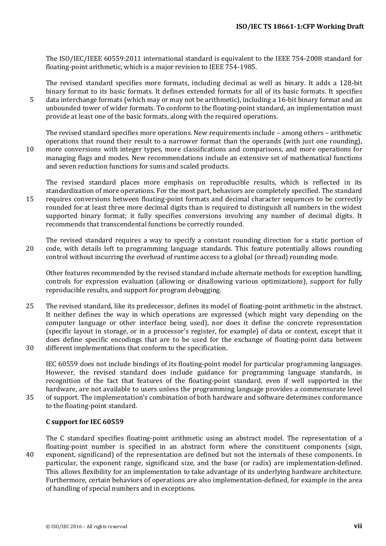The ISO/IEC/IEEE 60559:2011 international standard is equivalent to the IEEE 754-2008 standard for floating-point arithmetic, which is a major revision to IEEE 754-1985.

The revised standard specifies more formats, including decimal as well as binary. It adds a 128-bit binary format to its basic formats. It defines extended formats for all of its basic formats. It specifies 5 data interchange formats (which may or may not be arithmetic), including a 16-bit binary format and an unbounded tower of wider formats. To conform to the floating-point standard, an implementation must provide at least one of the basic formats, along with the required operations.

The revised standard specifies more operations. New requirements include  $-$  among others  $-$  arithmetic operations that round their result to a narrower format than the operands (with just one rounding),

10 more conversions with integer types, more classifications and comparisons, and more operations for managing flags and modes. New recommendations include an extensive set of mathematical functions and seven reduction functions for sums and scaled products.

The revised standard places more emphasis on reproducible results, which is reflected in its standardization of more operations. For the most part, behaviors are completely specified. The standard 15 requires conversions between floating-point formats and decimal character sequences to be correctly rounded for at least three more decimal digits than is required to distinguish all numbers in the widest supported binary format; it fully specifies conversions involving any number of decimal digits. It recommends that transcendental functions be correctly rounded.

The revised standard requires a way to specify a constant rounding direction for a static portion of 20 code, with details left to programming language standards. This feature potentially allows rounding control without incurring the overhead of runtime access to a global (or thread) rounding mode.

Other features recommended by the revised standard include alternate methods for exception handling, controls for expression evaluation (allowing or disallowing various optimizations), support for fully reproducible results, and support for program debugging.

25 The revised standard, like its predecessor, defines its model of floating-point arithmetic in the abstract. It neither defines the way in which operations are expressed (which might vary depending on the computer language or other interface being used), nor does it define the concrete representation (specific layout in storage, or in a processor's register, for example) of data or context, except that it does define specific encodings that are to be used for the exchange of floating-point data between 30 different implementations that conform to the specification.

IEC 60559 does not include bindings of its floating-point model for particular programming languages. However, the revised standard does include guidance for programming language standards, in recognition of the fact that features of the floating-point standard, even if well supported in the hardware, are not available to users unless the programming language provides a commensurate level

35 of support. The implementation's combination of both hardware and software determines conformance to the floating-point standard.

# **C support for IEC 60559**

The C standard specifies floating-point arithmetic using an abstract model. The representation of a floating-point number is specified in an abstract form where the constituent components (sign, 40 exponent, significand) of the representation are defined but not the internals of these components. In particular, the exponent range, significand size, and the base (or radix) are implementation-defined. This allows flexibility for an implementation to take advantage of its underlying hardware architecture. Furthermore, certain behaviors of operations are also implementation-defined, for example in the area of handling of special numbers and in exceptions.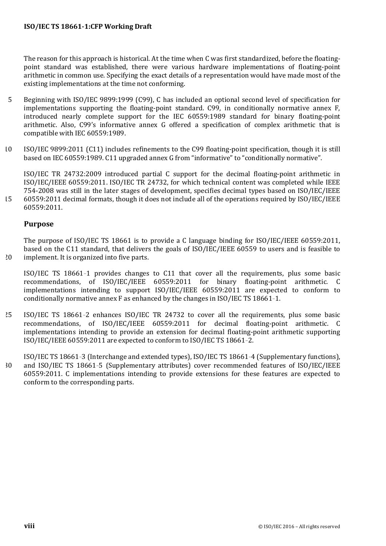The reason for this approach is historical. At the time when C was first standardized, before the floatingpoint standard was established, there were various hardware implementations of floating-point arithmetic in common use. Specifying the exact details of a representation would have made most of the existing implementations at the time not conforming.

- 5 Beginning with ISO/IEC 9899:1999 (C99), C has included an optional second level of specification for implementations supporting the floating-point standard. C99, in conditionally normative annex F, introduced nearly complete support for the IEC 60559:1989 standard for binary floating-point arithmetic. Also, C99's informative annex G offered a specification of complex arithmetic that is compatible with IEC 60559:1989.
- 10 ISO/IEC 9899:2011 (C11) includes refinements to the C99 floating-point specification, though it is still based on IEC 60559:1989. C11 upgraded annex G from "informative" to "conditionally normative".

ISO/IEC TR 24732:2009 introduced partial C support for the decimal floating-point arithmetic in ISO/IEC/IEEE 60559:2011. ISO/IEC TR 24732, for which technical content was completed while IEEE 754-2008 was still in the later stages of development, specifies decimal types based on ISO/IEC/IEEE 15 60559:2011 decimal formats, though it does not include all of the operations required by ISO/IEC/IEEE 60559:2011.

# **Purpose**

The purpose of  $ISO/IEC$  TS 18661 is to provide a C language binding for  $ISO/IEC/IEE E$  60559:2011, based on the C11 standard, that delivers the goals of ISO/IEC/IEEE 60559 to users and is feasible to 20 implement. It is organized into five parts.

- ISO/IEC TS 18661-1 provides changes to C11 that cover all the requirements, plus some basic recommendations, of ISO/IEC/IEEE 60559:2011 for binary floating-point arithmetic. C implementations intending to support ISO/IEC/IEEE 60559:2011 are expected to conform to conditionally normative annex F as enhanced by the changes in  $ISO/IEC$  TS 18661-1.
- 25 ISO/IEC TS 18661-2 enhances ISO/IEC TR 24732 to cover all the requirements, plus some basic recommendations, of ISO/IEC/IEEE 60559:2011 for decimal floating-point arithmetic. C implementations intending to provide an extension for decimal floating-point arithmetic supporting ISO/IEC/IEEE 60559:2011 are expected to conform to ISO/IEC TS 18661-2.
- ISO/IEC TS 18661-3 (Interchange and extended types), ISO/IEC TS 18661-4 (Supplementary functions), 30 and ISO/IEC TS 18661-5 (Supplementary attributes) cover recommended features of ISO/IEC/IEEE  $60559:2011$ . C implementations intending to provide extensions for these features are expected to conform to the corresponding parts.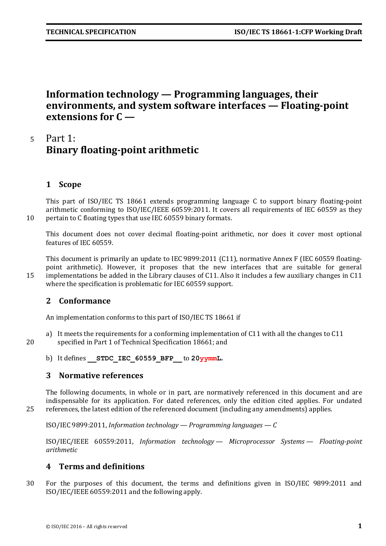# **Information technology — Programming languages, their environments, and system software interfaces — Floating-point extensions for C —**

# <sup>5</sup> Part 1: **Binary floating-point arithmetic**

# **1 Scope**

This part of ISO/IEC TS 18661 extends programming language C to support binary floating-point arithmetic conforming to ISO/IEC/IEEE 60559:2011. It covers all requirements of IEC 60559 as they 10 pertain to C floating types that use IEC 60559 binary formats.

This document does not cover decimal floating-point arithmetic, nor does it cover most optional features of IEC 60559.

This document is primarily an update to IEC 9899:2011 (C11), normative Annex F (IEC 60559 floatingpoint arithmetic). However, it proposes that the new interfaces that are suitable for general 15 implementations be added in the Library clauses of C11. Also it includes a few auxiliary changes in C11 where the specification is problematic for IEC 60559 support.

# **2 Conformance**

An implementation conforms to this part of ISO/IEC TS 18661 if

- a) It meets the requirements for a conforming implementation of C11 with all the changes to C11 20 specified in Part 1 of Technical Specification 18661; and
	- b) It defines **STDC IEC 60559 BFP** to 20yymmL.

# **3** Normative references

The following documents, in whole or in part, are normatively referenced in this document and are indispensable for its application. For dated references, only the edition cited applies. For undated 25 references, the latest edition of the referenced document (including any amendments) applies.

ISO/IEC 9899:2011, *Information technology* — *Programming languages* — *C* 

ISO/IEC/IEEE 60559:2011, *Information technology — Microprocessor Systems — Floating-point arithmetic*

# **4 Terms and definitions**

30 For the purposes of this document, the terms and definitions given in ISO/IEC 9899:2011 and  $ISO/IEC/IEEE 60559:2011$  and the following apply.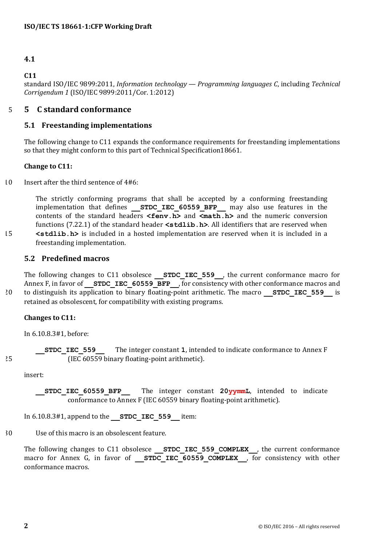# **4.1**

# **C11**

standard ISO/IEC 9899:2011, *Information technology — Programming languages C*, including *Technical Corrigendum 1* (ISO/IEC 9899:2011/Cor. 1:2012)

# 5 **5 C standard conformance**

# **5.1 Freestanding implementations**

The following change to  $C11$  expands the conformance requirements for freestanding implementations so that they might conform to this part of Technical Specification18661.

### **Change** to C11:

 $10$  Insert after the third sentence of  $4#6$ .

The strictly conforming programs that shall be accepted by a conforming freestanding implementation that defines **\_\_STDC\_IEC\_60559\_BFP**\_\_ may also use features in the contents of the standard headers **<fenv.h>** and  $\text{ $h$  and the numeric conversion$ functions (7.22.1) of the standard header **<stdlib.h>**. All identifiers that are reserved when 15 <stdlib.h> is included in a hosted implementation are reserved when it is included in a freestanding implementation.

### **5.2 Predefined macros**

The following changes to C11 obsolesce **STDC IEC 559**, the current conformance macro for Annex F, in favor of **STDC\_IEC\_60559\_BFP**, for consistency with other conformance macros and 20 to distinguish its application to binary floating-point arithmetic. The macro **STDC IEC 559** is retained as obsolescent, for compatibility with existing programs.

# **Changes** to C11:

In 6.10.8.3#1, before:

**STDC** IEC 559 The integer constant **1**, intended to indicate conformance to Annex F 25 (IEC 60559 binary floating-point arithmetic).

insert:

**STDC\_IEC\_60559\_BFP** The integer constant **20yymmL**, intended to indicate conformance to Annex F (IEC 60559 binary floating-point arithmetic).

In 6.10.8.3#1, append to the **STDC IEC 559** item:

30 Use of this macro is an obsolescent feature.

The following changes to C11 obsolesce **STDC IEC 559 COMPLEX**, the current conformance macro for Annex G, in favor of **STDC IEC 60559 COMPLEX**, for consistency with other conformance macros.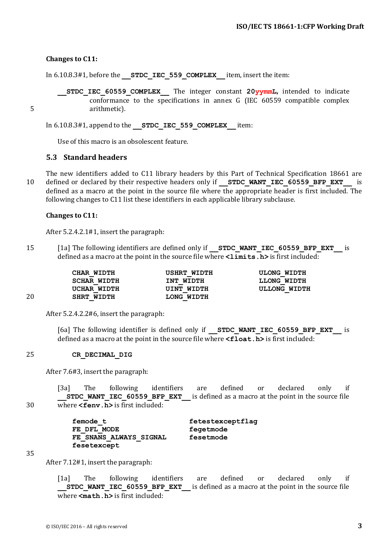### **Changes** to C11:

In 6.10.8.3#1, before the **STDC IEC 559 COMPLEX** item, insert the item:

**STDC IEC 60559 COMPLEX** The integer constant  $20$ yymmL, intended to indicate conformance to the specifications in annex  $G$  (IEC 60559 compatible complex 5 arithmetic).

In 6.10.8.3#1, append to the **STDC IEC 559 COMPLEX** item:

Use of this macro is an obsolescent feature.

#### **5.3 Standard headers**

The new identifiers added to C11 library headers by this Part of Technical Specification 18661 are 10 defined or declared by their respective headers only if **STDC WANT IEC 60559 BFP EXT** is defined as a macro at the point in the source file where the appropriate header is first included. The following changes to C11 list these identifiers in each applicable library subclause.

#### **Changes** to C11:

After  $5.2.4.2.1#1$ , insert the paragraph:

15 [1a] The following identifiers are defined only if **STDC WANT IEC 60559 BFP EXT** is defined as a macro at the point in the source file where  $\langle$ **limits.h>** is first included:

|    | CHAR WIDTH         | USHRT WIDTH | ULONG WIDTH  |
|----|--------------------|-------------|--------------|
|    | <b>SCHAR WIDTH</b> | INT WIDTH   | LLONG WIDTH  |
|    | UCHAR WIDTH        | UINT WIDTH  | ULLONG WIDTH |
| 20 | <b>SHRT WIDTH</b>  | LONG WIDTH  |              |

After  $5.2.4.2.2$ #6, insert the paragraph:

[6a] The following identifier is defined only if **STDC WANT IEC 60559 BFP EXT** is defined as a macro at the point in the source file where **<float.h>** is first included:

# 25 **CR\_DECIMAL\_DIG**

After 7.6#3, insert the paragraph:

[3a] The following identifiers are defined or declared only if **STDC\_WANT\_IEC\_60559\_BFP\_EXT\_\_\_** is defined as a macro at the point in the source file 30 where  $\le$ **fenv**.**h**> is first included:

**femode\_t fetestexceptflag FE\_DFL\_MODE fegetmode FE\_SNANS\_ALWAYS\_SIGNAL fesetmode fesetexcept**

35

After  $7.12#1$ , insert the paragraph:

[1a] The following identifiers are defined or declared only if **STDC\_WANT\_IEC\_60559\_BFP\_EXT\_\_\_** is defined as a macro at the point in the source file where **<math.h>** is first included: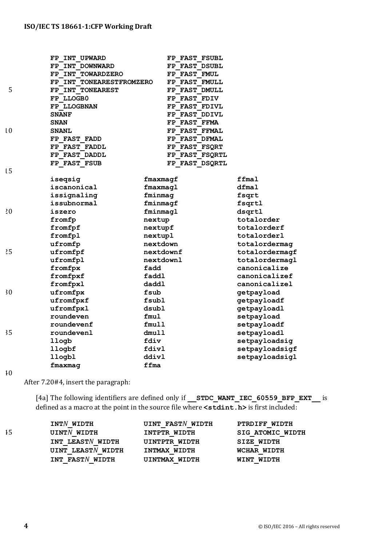|                 | FP INT UPWARD            | FP FAST FSUBL  |                |
|-----------------|--------------------------|----------------|----------------|
|                 | FP INT DOWNWARD          | FP FAST DSUBL  |                |
|                 | FP INT TOWARDZERO        | FP FAST FMUL   |                |
|                 | FP INT TONEARESTFROMZERO | FP FAST FMULL  |                |
| 5               | FP INT TONEAREST         | FP FAST DMULL  |                |
|                 | FP LLOGB0                | FP FAST FDIV   |                |
|                 | FP LLOGBNAN              | FP FAST FDIVL  |                |
|                 | <b>SNANF</b>             | FP FAST DDIVL  |                |
|                 | <b>SNAN</b>              | FP FAST FFMA   |                |
| 10 <sup>1</sup> | <b>SNANL</b>             | FP FAST FFMAL  |                |
|                 | FP FAST FADD             | FP FAST DFMAL  |                |
|                 | FP FAST FADDL            | FP FAST FSQRT  |                |
|                 | FP FAST DADDL            | FP FAST FSQRTL |                |
|                 | FP FAST FSUB             | FP FAST DSQRTL |                |
| 15              |                          |                |                |
|                 | iseqsig                  | fmaxmagf       | ffmal          |
|                 | iscanonical              | fmaxmagl       | dfmal          |
|                 | issignaling              | fminmag        | fsqrt          |
|                 | issubnormal              | fminmagf       | fsqrtl         |
| $20^{\circ}$    | iszero                   | fminmagl       | dsqrtl         |
|                 | fromfp                   | nextup         | totalorder     |
|                 | fromfpf                  | nextupf        | totalorderf    |
|                 | fromfpl                  | nextupl        | totalorderl    |
|                 | ufromfp                  | nextdown       | totalordermag  |
| 25              | ufromfpf                 | nextdownf      | totalordermagf |
|                 | ufromfpl                 | nextdownl      | totalordermagl |
|                 | fromfpx                  | fadd           | canonicalize   |
|                 | fromfpxf                 | faddl          | canonicalizef  |
|                 | fromfpxl                 | daddl          | canonicalizel  |
| 30 <sup>°</sup> | ufromfpx                 | fsub           | getpayload     |
|                 | ufromfpxf                | fsubl          | getpayloadf    |
|                 | ufromfpxl                | dsubl          | getpayloadl    |
|                 | roundeven                | fmu1           | setpayload     |
|                 | roundevenf               | fmull          | setpayloadf    |
| 35              | roundevenl               | dmull          | setpayloadl    |
|                 | llogb                    | fdiv           | setpayloadsig  |
|                 | llogbf                   | fdivl          | setpayloadsigf |
|                 | llogbl                   | ddivl          | setpayloadsigl |
|                 | fmaxmag                  | ffma           |                |

40

After 7.20#4, insert the paragraph:

[4a] The following identifiers are defined only if **STDC WANT IEC 60559 BFP EXT** is defined as a macro at the point in the source file where  $\overline{\text{stdint}}$ . **h**> is first included:

|    | INTN WIDTH        | <b>UINT FASTN WIDTH</b> | PTRDIFF WIDTH           |
|----|-------------------|-------------------------|-------------------------|
| 45 | UINT $N$ WIDTH    | INTPTR WIDTH            | <b>SIG ATOMIC WIDTH</b> |
|    | INT LEASTN WIDTH  | UINTPTR WIDTH           | <b>SIZE WIDTH</b>       |
|    | UINT LEASTN WIDTH | INTMAX WIDTH            | WCHAR WIDTH             |
|    | INT FASTN WIDTH   | UINTMAX WIDTH           | WINT WIDTH              |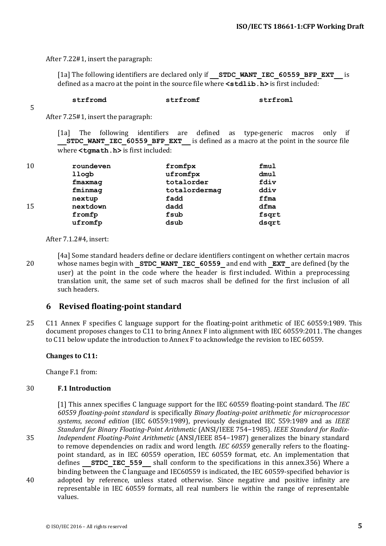After  $7.22#1$ , insert the paragraph:

[1a] The following identifiers are declared only if **STDC WANT IEC 60559 BFP EXT** is defined as a macro at the point in the source file where  $\leq$ **stdlib.** h> is first included:

**strfromd strfromf strfroml**

After 7.25#1, insert the paragraph:

[1a] The following identifiers are defined as type-generic macros only if **STDC\_WANT\_IEC\_60559\_BFP\_EXT\_\_\_** is defined as a macro at the point in the source file where  $lt$  to  $\tanh$ .  $h$  is first included:

| 10 | roundeven | fromfpx       | fmul  |
|----|-----------|---------------|-------|
|    | llogb     | ufromfpx      | dmul  |
|    | fmaxmag   | totalorder    | fdiv  |
|    | fminmag   | totalordermag | ddiv  |
|    | nextup    | fadd          | ffma  |
| 15 | nextdown  | dadd          | dfma  |
|    | fromfp    | fsub          | fsqrt |
|    | ufromfp   | dsub          | dsqrt |

After 7.1.2#4, insert:

5

[4a] Some standard headers define or declare identifiers contingent on whether certain macros 20 whose names begin with **STDC WANT IEC 60559** and end with **EXT** are defined (by the user) at the point in the code where the header is first included. Within a preprocessing translation unit, the same set of such macros shall be defined for the first inclusion of all such headers.

# **6 Revised floating-point standard**

25 C11 Annex F specifies C language support for the floating-point arithmetic of IEC 60559:1989. This document proposes changes to C11 to bring Annex F into alignment with IEC 60559:2011. The changes to C11 below update the introduction to Annex F to acknowledge the revision to IEC 60559.

#### **Changes** to C11:

Change F.1 from:

#### 30 **F.1 Introduction**

[1] This annex specifies C language support for the IEC 60559 floating-point standard. The *IEC 60559 floating-point standard* is specifically *Binary floating-point arithmetic for microprocessor systems, second edition*  (IEC 60559:1989), previously designated IEC 559:1989 and as *IEEE*  Standard for Binary Floating-Point Arithmetic (ANSI/IEEE 754-1985). IEEE Standard for Radix-35 *Independent Floating-Point Arithmetic* (ANSI/IEEE 854-1987) generalizes the binary standard to remove dependencies on radix and word length. *IEC* 60559 generally refers to the floatingpoint standard, as in IEC 60559 operation, IEC 60559 format, etc. An implementation that defines **STDC IEC 559** shall conform to the specifications in this annex.356) Where a binding between the C language and IEC60559 is indicated, the IEC 60559-specified behavior is 40 adopted by reference, unless stated otherwise. Since negative and positive infinity are representable in IEC 60559 formats, all real numbers lie within the range of representable values.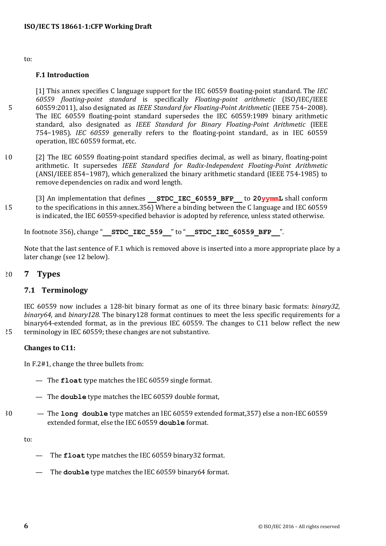to:

# **F.1 Introduction**

[1] This annex specifies C language support for the IEC 60559 floating-point standard. The *IEC 60559 floating-point standard*  is specifically *Floating-point arithmetic* (ISO/IEC/IEEE 5 60559:2011), also designated as *IEEE Standard for Floating-Point Arithmetic* (IEEE 754−2008). The IEC 60559 floating-point standard supersedes the IEC 60559:1989 binary arithmetic standard, also designated as *IEEE Standard for Binary Floating-Point Arithmetic* (IEEE 754–1985). *IEC* 60559 generally refers to the floating-point standard, as in IEC 60559 operation, IEC 60559 format, etc.

- 10 [2] The IEC 60559 floating-point standard specifies decimal, as well as binary, floating-point arithmetic. It supersedes *IEEE Standard for Radix-Independent Floating-Point Arithmetic* (ANSI/IEEE 854-1987), which generalized the binary arithmetic standard (IEEE 754-1985) to remove dependencies on radix and word length.
- [3] An implementation that defines **STDC IEC 60559 BFP** to 20yymmL shall conform 15 to the specifications in this annex.356) Where a binding between the C language and IEC 60559 is indicated, the IEC 60559-specified behavior is adopted by reference, unless stated otherwise.

In footnote 356), change " **STDC\_IEC\_559** " to " **STDC\_IEC\_60559\_BFP** ".

Note that the last sentence of F.1 which is removed above is inserted into a more appropriate place by a later change (see 12 below).

# 20 **7 Types**

# **7.1 Terminology**

IEC 60559 now includes a 128-bit binary format as one of its three binary basic formats: *binary32*, *binary64*, and *binary128*. The binary128 format continues to meet the less specific requirements for a binary64-extended format, as in the previous IEC 60559. The changes to C11 below reflect the new 25 terminology in IEC 60559; these changes are not substantive.

# **Changes** to C11:

In F.2#1, change the three bullets from:

- The **float** type matches the IEC 60559 single format.
- The **double** type matches the IEC 60559 double format,
- 30 The **long double** type matches an IEC 60559 extended format, 357) else a non-IEC 60559 extended format, else the IEC 60559 double format.

to:

- The **float** type matches the IEC 60559 binary32 format.
- The **double** type matches the IEC 60559 binary64 format.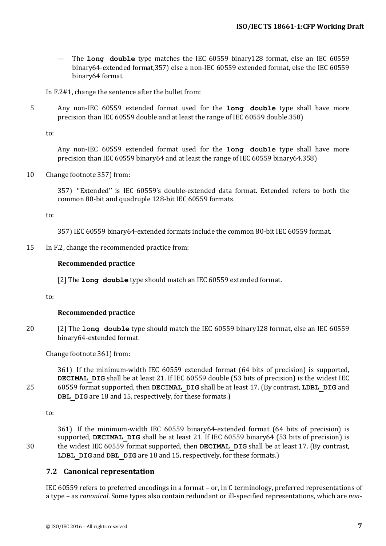- The **long double** type matches the IEC 60559 binary128 format, else an IEC 60559 binary64-extended format, 357) else a non-IEC 60559 extended format, else the IEC 60559 binary64 format.
- In F.2#1, change the sentence after the bullet from:
- 5 Any non-IEC 60559 extended format used for the **long double** type shall have more precision than IEC 60559 double and at least the range of IEC 60559 double.358)

to: 

Any non-IEC 60559 extended format used for the **long double** type shall have more precision than IEC 60559 binary64 and at least the range of IEC 60559 binary64.358)

10 Change footnote 357) from:

357) "Extended" is IEC 60559's double-extended data format. Extended refers to both the common 80-bit and quadruple 128-bit IEC 60559 formats.

to:

357) IEC 60559 binary64-extended formats include the common 80-bit IEC 60559 format.

15 In F.2, change the recommended practice from:

#### **Recommended practice**

[2] The **long double** type should match an IEC 60559 extended format.

to:

#### **Recommended practice**

20 [2] The **long double** type should match the IEC 60559 binary128 format, else an IEC 60559 binary64-extended format.

Change footnote 361) from:

361) If the minimum-width IEC 60559 extended format (64 bits of precision) is supported, **DECIMAL DIG** shall be at least 21. If IEC 60559 double (53 bits of precision) is the widest IEC 25 60559 format supported, then **DECIMAL** DIG shall be at least 17. (By contrast, LDBL DIG and **DBL** DIG are 18 and 15, respectively, for these formats.)

to:

361) If the minimum-width IEC 60559 binary64-extended format (64 bits of precision) is supported, **DECIMAL** DIG shall be at least 21. If IEC 60559 binary64 (53 bits of precision) is 30 the widest IEC 60559 format supported, then **DECIMAL DIG** shall be at least 17. (By contrast, **LDBL** DIG and DBL DIG are 18 and 15, respectively, for these formats.)

# **7.2 Canonical representation**

IEC 60559 refers to preferred encodings in a format – or, in C terminology, preferred representations of a type - as *canonical*. Some types also contain redundant or ill-specified representations, which are *non-*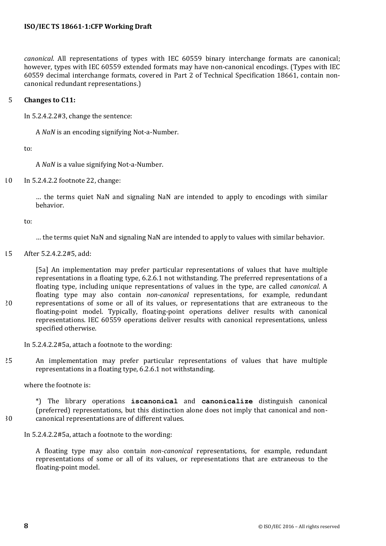*canonical*. All representations of types with IEC 60559 binary interchange formats are canonical; however, types with IEC 60559 extended formats may have non-canonical encodings. (Types with IEC 60559 decimal interchange formats, covered in Part 2 of Technical Specification 18661, contain noncanonical redundant representations.)

#### 5 **Changes** to C11:

In  $5.2.4.2.2$ #3, change the sentence:

A *NaN* is an encoding signifying Not-a-Number.

to:

A *NaN* is a value signifying Not-a-Number.

10 In 5.2.4.2.2 footnote 22, change:

... the terms quiet NaN and signaling NaN are intended to apply to encodings with similar behavior.

to:

```
... the terms quiet NaN and signaling NaN are intended to apply to values with similar behavior.
```
15 After 5.2.4.2.2#5, add:

[5a] An implementation may prefer particular representations of values that have multiple representations in a floating type, 6.2.6.1 not withstanding. The preferred representations of a floating type, including unique representations of values in the type, are called *canonical*. A floating type may also contain *non-canonical* representations, for example, redundant 20 representations of some or all of its values, or representations that are extraneous to the floating-point model. Typically, floating-point operations deliver results with canonical representations. IEC 60559 operations deliver results with canonical representations, unless specified otherwise.

In 5.2.4.2.2#5a, attach a footnote to the wording:

25 An implementation may prefer particular representations of values that have multiple representations in a floating type, 6.2.6.1 not withstanding.

where the footnote is:

\*) The library operations **iscanonical** and **canonicalize** distinguish canonical (preferred) representations, but this distinction alone does not imply that canonical and non-30 canonical representations are of different values.

In 5.2.4.2.2#5a, attach a footnote to the wording:

A floating type may also contain *non-canonical* representations, for example, redundant representations of some or all of its values, or representations that are extraneous to the floating-point model.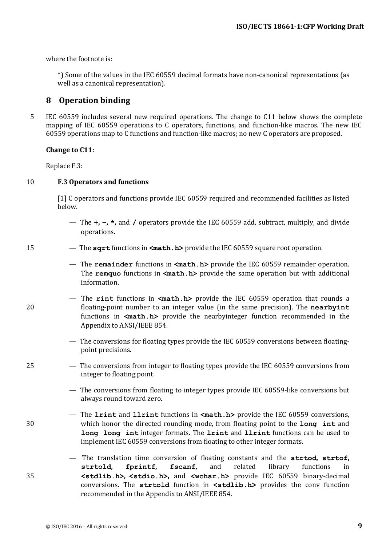where the footnote is:

\*) Some of the values in the IEC 60559 decimal formats have non-canonical representations (as well as a canonical representation).

# **8 Operation binding**

5 IEC 60559 includes several new required operations. The change to C11 below shows the complete mapping of IEC 60559 operations to C operators, functions, and function-like macros. The new IEC 60559 operations map to C functions and function-like macros; no new C operators are proposed.

#### **Change** to C11:

Replace F.3:

#### 10 **F.3 Operators and functions**

[1] C operators and functions provide IEC 60559 required and recommended facilities as listed below.

- The **+, −, \*,** and / operators provide the IEC 60559 add, subtract, multiply, and divide operations.
- 15  $-$  The sqrt functions in  $\zeta$  math. h> provide the IEC 60559 square root operation.
	- The **remainder** functions in <math.h> provide the IEC 60559 remainder operation. The **remquo** functions in  $\text{math.h}$  provide the same operation but with additional information.
- The rint functions in  $\text{ $\text{math.h}\text{>}$  provide the IEC 60559 operation that rounds a$ 20 **floating-point number to an integer value** (in the same precision). The **nearbyint** functions in  $\leq$ **math.h>** provide the nearbyinteger function recommended in the Appendix to ANSI/IEEE 854.
	- The conversions for floating types provide the IEC 60559 conversions between floatingpoint precisions.
- $25$  The conversions from integer to floating types provide the IEC 60559 conversions from integer to floating point.
	- The conversions from floating to integer types provide IEC 60559-like conversions but always round toward zero.
- The **lrint** and **llrint** functions in <math.h> provide the IEC 60559 conversions, 30 which honor the directed rounding mode, from floating point to the **long int** and **long long int** integer formats. The **lrint** and **llrint** functions can be used to implement IEC 60559 conversions from floating to other integer formats.
- $-$  The translation time conversion of floating constants and the **strtod**, **strtof**, **strtold, fprintf, fscanf,** and related library functions in 35 <stdlib.h>, <stdio.h>, and <wchar.h> provide IEC 60559 binary-decimal conversions. The strtold function in <stdlib.h> provides the conv function recommended in the Appendix to ANSI/IEEE 854.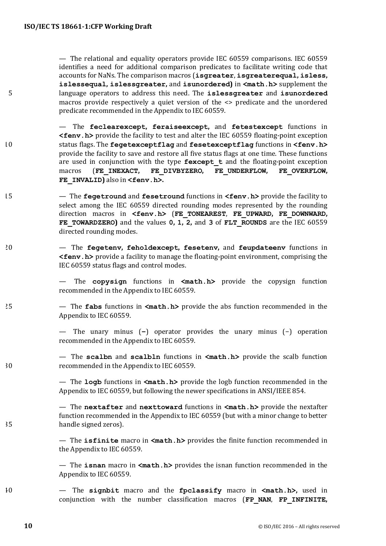— The relational and equality operators provide IEC  $60559$  comparisons. IEC  $60559$ identifies a need for additional comparison predicates to facilitate writing code that accounts for NaNs. The comparison macros (isgreater, isgreaterequal, isless, **islessequal**, islessgreater, and isunordered) in <math.h> supplement the 5 language operators to address this need. The islessgreater and isunordered macros provide respectively a quiet version of the  $\leq$  predicate and the unordered predicate recommended in the Appendix to IEC 60559.

 $-$  The feclearexcept, feraiseexcept, and fetestexcept functions in <fenv.h> provide the facility to test and alter the IEC 60559 floating-point exception 10 status flags. The **fegetexceptflag** and **fesetexceptflag** functions in **<fenv.h>** provide the facility to save and restore all five status flags at one time. These functions are used in conjunction with the type **fexcept t** and the floating-point exception macros (**FE\_INEXACT, FE\_DIVBYZERO, FE\_UNDERFLOW, FE\_OVERFLOW,**  FE INVALID) also in <fenv.h>.

- 15  **The fegetround and fesetround** functions in **<fenv.h>** provide the facility to select among the IEC 60559 directed rounding modes represented by the rounding direction macros in **<fenv.h>** (**FE\_TONEAREST**, **FE\_UPWARD, FE\_DOWNWARD, FE\_TOWARDZERO**) and the values 0, 1, 2, and 3 of FLT\_ROUNDS are the IEC 60559 directed rounding modes.
- 20 The **fegetenv**, **feholdexcept**, **fesetenv**, and **feupdateenv** functions in **<fenv.h>** provide a facility to manage the floating-point environment, comprising the IEC 60559 status flags and control modes.

— The **copysign** functions in  $\text{math.h}$  provide the copysign function recommended in the Appendix to IEC 60559.

25 – The **fabs** functions in  $\epsilon_{\text{match}}$ **. h>** provide the abs function recommended in the Appendix to IEC 60559.

> — The unary minus (−) operator provides the unary minus (−) operation recommended in the Appendix to IEC 60559.

— The scalbn and scalbln functions in  $\text{ $m$ th.h> provide the scalb function$ 30 recommended in the Appendix to IEC 60559.

> — The **logb** functions in  $\leq$ **math.h>** provide the logb function recommended in the Appendix to IEC 60559, but following the newer specifications in ANSI/IEEE 854.

— The nextafter and nexttoward functions in <math.h> provide the nextafter function recommended in the Appendix to IEC 60559 (but with a minor change to better 35 handle signed zeros).

> — The **isfinite** macro in  $\leq$  math.h> provides the finite function recommended in the Appendix to IEC 60559.

> — The **isnan** macro in **<math.h>** provides the isnan function recommended in the Appendix to IEC 60559.

40 - The signbit macro and the fpclassify macro in  $\text{4}$  math.h>, used in conjunction with the number classification macros (FP NAN, FP INFINITE,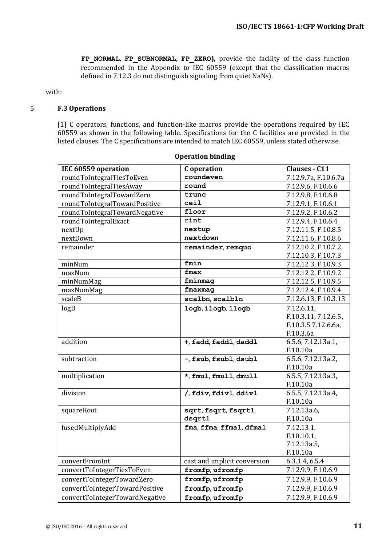FP NORMAL, FP SUBNORMAL, FP ZERO), provide the facility of the class function recommended in the Appendix to IEC 60559 (except that the classification macros defined in  $7.12.3$  do not distinguish signaling from quiet NaNs).

with:

#### 5 **F.3 Operations**

[1] C operators, functions, and function-like macros provide the operations required by IEC  $60559$  as shown in the following table. Specifications for the C facilities are provided in the listed clauses. The C specifications are intended to match IEC 60559, unless stated otherwise.

| IEC 60559 operation            | <b>C</b> operation           | <b>Clauses - C11</b> |
|--------------------------------|------------------------------|----------------------|
| roundToIntegralTiesToEven      | roundeven                    | 7.12.9.7a, F.10.6.7a |
| roundToIntegralTiesAway        | round                        | 7.12.9.6, F.10.6.6   |
| roundToIntegralTowardZero      | trunc                        | 7.12.9.8, F.10.6.8   |
| roundToIntegralTowardPositive  | ceil                         | 7.12.9.1, F.10.6.1   |
| roundToIntegralTowardNegative  | floor                        | 7.12.9.2, F.10.6.2   |
| roundToIntegralExact           | rint                         | 7.12.9.4, F.10.6.4   |
| nextUp                         | nextup                       | 7.12.11.5, F.10.8.5  |
| nextDown                       | nextdown                     | 7.12.11.6, F.10.8.6  |
| remainder                      | remainder, remquo            | 7.12.10.2, F.10.7.2, |
|                                |                              | 7.12.10.3, F.10.7.3  |
| minNum                         | fmin                         | 7.12.12.3, F.10.9.3  |
| maxNum                         | fmax                         | 7.12.12.2, F.10.9.2  |
| minNumMag                      | fminmag                      | 7.12.12.5, F.10.9.5  |
| maxNumMag                      | fmaxmag                      | 7.12.12.4, F.10.9.4  |
| scaleB                         | scalbn, scalbln              | 7.12.6.13, F.10.3.13 |
| log B                          | logb, ilogb, llogb           | 7.12.6.11,           |
|                                |                              | F.10.3.11, 7.12.6.5, |
|                                |                              | F.10.3.5 7.12.6.6a,  |
|                                |                              | F.10.3.6a            |
| addition                       | +, fadd, faddl, daddl        | 6.5.6, 7.12.13a.1,   |
|                                |                              | F.10.10a             |
| subtraction                    | -, fsub, fsubl, dsubl        | 6.5.6, 7.12.13a.2,   |
|                                |                              | F.10.10a             |
| multiplication                 | *, fmul, fmull, dmull        | 6.5.5, 7.12.13a.3,   |
|                                |                              | F.10.10a             |
| division                       | /, fdiv, fdivl, ddivl        | 6.5.5, 7.12.13a.4,   |
|                                |                              | F.10.10a             |
| squareRoot                     | sqrt, fsqrt, fsqrtl,         | 7.12.13a.6,          |
|                                | dsqrtl                       | F.10.10a             |
| fusedMultiplyAdd               | fma, ffma, ffmal, dfmal      | 7.12.13.1,           |
|                                |                              | F.10.10.1            |
|                                |                              | 7.12.13a.5,          |
|                                |                              | F.10.10a             |
| convertFromInt                 | cast and implicit conversion | 6.3.1.4, 6.5.4       |
| convertToIntegerTiesToEven     | fromfp, ufromfp              | 7.12.9.9, F.10.6.9   |
| convertToIntegerTowardZero     | fromfp, ufromfp              | 7.12.9.9, F.10.6.9   |
| convertToIntegerTowardPositive | fromfp, ufromfp              | 7.12.9.9, F.10.6.9   |
| convertToIntegerTowardNegative | fromfp, ufromfp              | 7.12.9.9, F.10.6.9   |
|                                |                              |                      |

**Operation binding**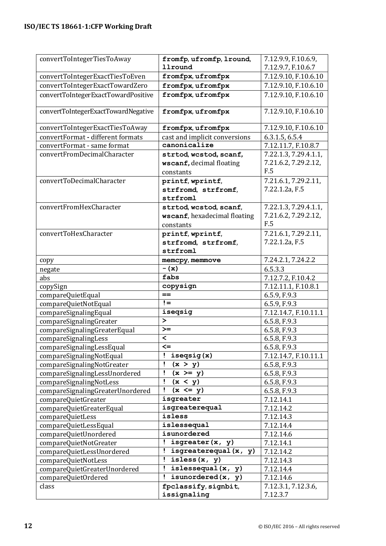| convertToIntegerTiesToAway                               | fromfp, ufromfp, lround,      | 7.12.9.9, F.10.6.9,          |
|----------------------------------------------------------|-------------------------------|------------------------------|
|                                                          | <b>llround</b>                | 7.12.9.7, F.10.6.7           |
| convertToIntegerExactTiesToEven                          | fromfpx, ufromfpx             | 7.12.9.10, F.10.6.10         |
| convertToIntegerExactTowardZero                          | fromfpx, ufromfpx             | 7.12.9.10, F.10.6.10         |
| convertToIntegerExactTowardPositive                      | fromfpx, ufromfpx             | 7.12.9.10, F.10.6.10         |
| convertToIntegerExactTowardNegative                      | fromfpx, ufromfpx             | 7.12.9.10, F.10.6.10         |
| convertToIntegerExactTiesToAway                          | fromfpx, ufromfpx             | 7.12.9.10, F.10.6.10         |
| convertFormat - different formats                        | cast and implicit conversions | 6.3.1.5, 6.5.4               |
| convertFormat - same format                              | canonicalize                  | 7.12.11.7, F.10.8.7          |
| convertFromDecimalCharacter                              | strtod, wcstod, scanf,        | 7.22.1.3, 7.29.4.1.1,        |
|                                                          | wscanf, decimal floating      | 7.21.6.2, 7.29.2.12,         |
|                                                          | constants                     | F.5                          |
| convertToDecimalCharacter                                | printf, wprintf,              | 7.21.6.1, 7.29.2.11,         |
|                                                          | strfromd, strfromf,           | 7.22.1.2a, F.5               |
|                                                          | strfroml                      |                              |
| convertFromHexCharacter                                  | strtod, wcstod, scanf,        | 7.22.1.3, 7.29.4.1.1,        |
|                                                          | wscanf, hexadecimal floating  | 7.21.6.2, 7.29.2.12,         |
|                                                          | constants                     | F.5                          |
| convertToHexCharacter                                    | printf, wprintf,              | 7.21.6.1, 7.29.2.11,         |
|                                                          | strfromd, strfromf,           | 7.22.1.2a, F.5               |
|                                                          | strfroml                      |                              |
| copy                                                     | memcpy, memmove               | 7.24.2.1, 7.24.2.2           |
| negate                                                   | $-$ (x)                       | 6.5.3.3                      |
| abs                                                      | fabs                          | 7.12.7.2, F.10.4.2           |
| copySign                                                 | copysign                      | 7.12.11.1, F.10.8.1          |
| compareQuietEqual                                        | $==$                          | 6.5.9, F.9.3                 |
| compareQuietNotEqual                                     | $!=$                          | 6.5.9, F.9.3                 |
| compareSignalingEqual                                    | iseqsig                       | 7.12.14.7, F.10.11.1         |
| compareSignalingGreater                                  | $\geq$                        | 6.5.8, F.9.3                 |
| compareSignalingGreaterEqual                             | $>=$<br>$\prec$               | 6.5.8, F.9.3                 |
| compareSignalingLess                                     | $\leq$                        | 6.5.8, F.9.3                 |
| compareSignalingLessEqual                                | Ţ                             | 6.5.8, F.9.3                 |
| compareSignalingNotEqual                                 | iseqsig(x)<br>(x > y)         | 7.12.14.7, F.10.11.1         |
| compareSignalingNotGreater                               | Ţ<br>$(x \ge y)$              | 6.5.8, F.9.3                 |
| compareSignalingLessUnordered<br>compareSignalingNotLess | (x < y)<br>Ţ                  | 6.5.8, F.9.3<br>6.5.8, F.9.3 |
| compareSignalingGreaterUnordered                         | $(x \leq y)$<br>Ţ             | 6.5.8, F.9.3                 |
| compareQuietGreater                                      | isgreater                     | 7.12.14.1                    |
| compareQuietGreaterEqual                                 | isgreaterequal                | 7.12.14.2                    |
| compareQuietLess                                         | isless                        | 7.12.14.3                    |
| compareQuietLessEqual                                    | islessequal                   | 7.12.14.4                    |
| compareQuietUnordered                                    | isunordered                   | 7.12.14.6                    |
| compareQuietNotGreater                                   | isgreater $(x, y)$            | 7.12.14.1                    |
| compareQuietLessUnordered                                | ! isgreaterequal $(x, y)$     | 7.12.14.2                    |
| compareQuietNotLess                                      | isless $(x, y)$<br>Ţ.         | 7.12.14.3                    |
| compareQuietGreaterUnordered                             | is less equal (x, y)          | 7.12.14.4                    |
| compareQuietOrdered                                      | isunordered $(x, y)$          | 7.12.14.6                    |
|                                                          |                               |                              |
| class                                                    | fpclassify, signbit,          | 7.12.3.1, 7.12.3.6,          |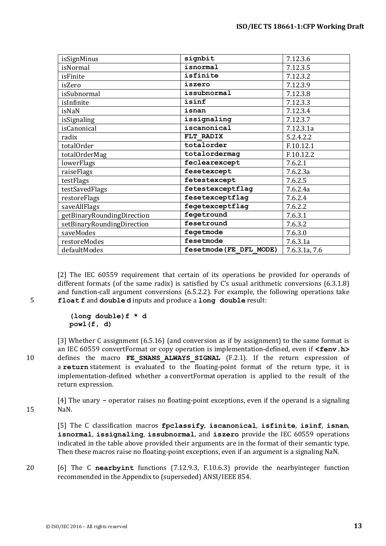| isSignMinus                | signbit                 | 7.12.3.6      |
|----------------------------|-------------------------|---------------|
| isNormal                   | isnormal                | 7.12.3.5      |
| isFinite                   | isfinite                | 7.12.3.2      |
| isZero                     | iszero                  | 7.12.3.9      |
| isSubnormal                | issubnormal             | 7.12.3.8      |
| isInfinite                 | isinf                   | 7.12.3.3      |
| isNaN                      | isnan                   | 7.12.3.4      |
| isSignaling                | issignaling             | 7.12.3.7      |
| isCanonical                | iscanonical             | 7.12.3.1a     |
| radix                      | FLT RADIX               | 5.2.4.2.2     |
| totalOrder                 | totalorder              | F.10.12.1     |
| totalOrderMag              | totalordermag           | F.10.12.2     |
| lowerFlags                 | feclearexcept           | 7.6.2.1       |
| raiseFlags                 | fesetexcept             | 7.6.2.3a      |
| testFlags                  | fetestexcept            | 7.6.2.5       |
| testSavedFlags             | fetestexceptflag        | 7.6.2.4a      |
| restoreFlags               | fesetexceptflag         | 7.6.2.4       |
| saveAllFlags               | fegetexceptflag         | 7.6.2.2       |
| getBinaryRoundingDirection | fegetround              | 7.6.3.1       |
| setBinaryRoundingDirection | fesetround              | 7.6.3.2       |
| saveModes                  | fegetmode               | 7.6.3.0       |
| restoreModes               | fesetmode               | 7.6.3.1a      |
| defaultModes               | fesetmode (FE DFL MODE) | 7.6.3.1a, 7.6 |

[2] The IEC 60559 requirement that certain of its operations be provided for operands of different formats (of the same radix) is satisfied by C's usual arithmetic conversions  $(6.3.1.8)$ and function-call argument conversions  $(6.5.2.2)$ . For example, the following operations take 5 **float f** and **double d** inputs and produce a long double result:

> **(long double)f \* d powl(f, d)**

[3] Whether C assignment (6.5.16) (and conversion as if by assignment) to the same format is an IEC 60559 convertFormat or copy operation is implementation-defined, even if **<fenv.h>** 10 defines the macro **FE SNANS ALWAYS SIGNAL** (F.2.1). If the return expression of a **return** statement is evaluated to the floating-point format of the return type, it is implementation-defined whether a convertFormat operation is applied to the result of the return expression.

[4] The unary - operator raises no floating-point exceptions, even if the operand is a signaling 15 NaN.

[5] The C classification macros **fpclassify**, **iscanonical**, **isfinite**, **isinf**, **isnan**, **isnormal**, **issignaling**, **issubnormal**, and **iszero** provide the IEC 60559 operations indicated in the table above provided their arguments are in the format of their semantic type. Then these macros raise no floating-point exceptions, even if an argument is a signaling NaN.

# 20 [6] The C nearbyint functions (7.12.9.3, F.10.6.3) provide the nearbyinteger function recommended in the Appendix to (superseded) ANSI/IEEE 854.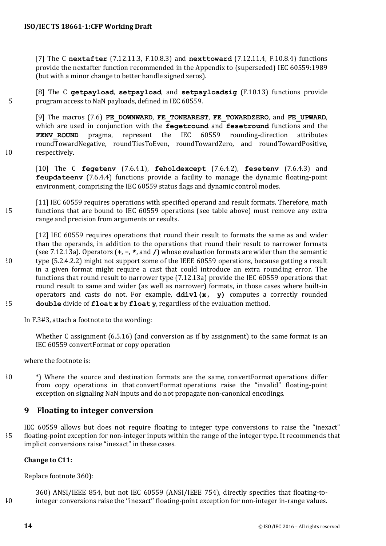[7] The C nextafter (7.12.11.3, F.10.8.3) and nexttoward (7.12.11.4, F.10.8.4) functions provide the nextafter function recommended in the Appendix to (superseded) IEC 60559:1989 (but with a minor change to better handle signed zeros).

[8] The C getpayload, setpayload, and setpayloadsig (F.10.13) functions provide 5 program access to NaN payloads, defined in IEC 60559.

[9] The macros (7.6) FE\_DOWNWARD, FE\_TONEAREST, FE\_TOWARDZERO, and FE\_UPWARD, which are used in conjunction with the **fegetround** and **fesetround** functions and the **FENV ROUND** pragma, represent the IEC 60559 rounding-direction attributes roundTowardNegative, roundTiesToEven, roundTowardZero, and roundTowardPositive, 10 respectively.

[10] The C **fegetenv** (7.6.4.1), **feholdexcept** (7.6.4.2), **fesetenv** (7.6.4.3) and **feupdateenv** (7.6.4.4) functions provide a facility to manage the dynamic floating-point environment, comprising the IEC 60559 status flags and dynamic control modes.

[11] IEC 60559 requires operations with specified operand and result formats. Therefore, math 15 functions that are bound to IEC 60559 operations (see table above) must remove any extra range and precision from arguments or results.

[12] IEC 60559 requires operations that round their result to formats the same as and wider than the operands, in addition to the operations that round their result to narrower formats (see 7.12.13a). Operators  $(+, -, *, \text{ and } /)$  whose evaluation formats are wider than the semantic 20 type (5.2.4.2.2) might not support some of the IEEE 60559 operations, because getting a result in a given format might require a cast that could introduce an extra rounding error. The functions that round result to narrower type (7.12.13a) provide the IEC 60559 operations that round result to same and wider (as well as narrower) formats, in those cases where built-in operators and casts do not. For example, **ddivl(x, y)** computes a correctly rounded 25 **double** divide of **float x** by **float y**, regardless of the evaluation method.

In F.3#3, attach a footnote to the wording:

Whether C assignment  $(6.5.16)$  (and conversion as if by assignment) to the same format is an IEC 60559 convertFormat or copy operation

where the footnote is:

30  $*$ ) Where the source and destination formats are the same, convertFormat operations differ from copy operations in that convertFormat operations raise the "invalid" floating-point exception on signaling NaN inputs and do not propagate non-canonical encodings.

# **9** Floating to integer conversion

IEC 60559 allows but does not require floating to integer type conversions to raise the "inexact" 35 floating-point exception for non-integer inputs within the range of the integer type. It recommends that implicit conversions raise "inexact" in these cases.

# **Change to C11:**

Replace footnote 360):

360) ANSI/IEEE 854, but not IEC 60559 (ANSI/IEEE 754), directly specifies that floating-to-40 integer conversions raise the "inexact" floating-point exception for non-integer in-range values.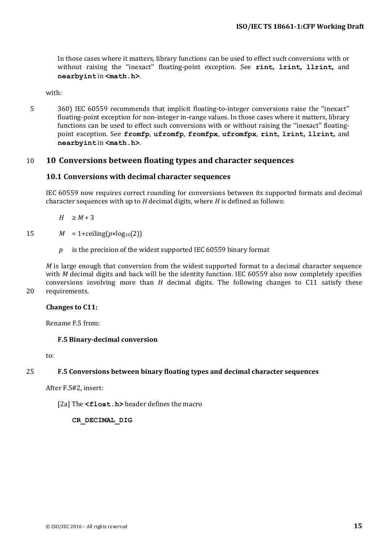In those cases where it matters, library functions can be used to effect such conversions with or without raising the ''inexact'' floating-point exception. See **rint, lrint, llrint,**  and **nearbyint** in **<math.h>**.

with:

5 360) IEC 60559 recommends that implicit floating-to-integer conversions raise the "inexact" floating-point exception for non-integer in-range values. In those cases where it matters, library functions can be used to effect such conversions with or without raising the "inexact" floatingpoint exception. See fromfp, ufromfp, fromfpx, ufromfpx, rint, lrint, llrint, and **nearbyint** in **<math.h>**.

## 10 **10 Conversions between floating types and character sequences**

#### **10.1 Conversions with decimal character sequences**

IEC 60559 now requires correct rounding for conversions between its supported formats and decimal character sequences with up to  $H$  decimal digits, where  $H$  is defined as follows:

 $H > M + 3$ 

- 15  $M = 1 + \text{ceiling}(p \times \log_{10}(2))$ 
	- $p$  is the precision of the widest supported IEC 60559 binary format

*M* is large enough that conversion from the widest supported format to a decimal character sequence with *M* decimal digits and back will be the identity function. IEC 60559 also now completely specifies conversions involving more than  $H$  decimal digits. The following changes to  $C11$  satisfy these 20 requirements.

#### **Changes** to C11:

Rename F.5 from:

#### **F.5 Binary-decimal conversion**

to:

#### 25 **F.5 Conversions between binary floating types and decimal character sequences**

After F.5#2, insert:

[2a] The **<float.h>** header defines the macro

**CR\_DECIMAL\_DIG**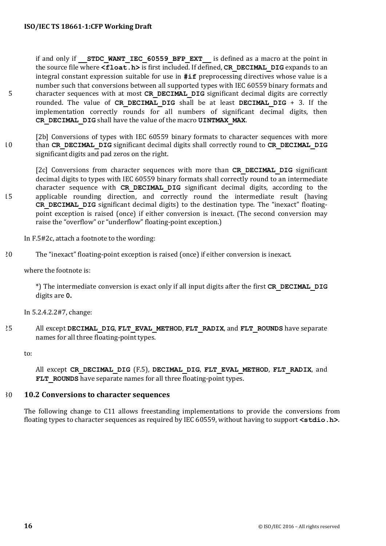if and only if **STDC WANT IEC 60559 BFP EXT** is defined as a macro at the point in the source file where <float.h> is first included. If defined, CR\_DECIMAL\_DIG expands to an integral constant expression suitable for use in  $\#\textbf{if}$  preprocessing directives whose value is a number such that conversions between all supported types with IEC 60559 binary formats and 5 character sequences with at most CR DECIMAL DIG significant decimal digits are correctly rounded. The value of CR DECIMAL DIG shall be at least DECIMAL DIG + 3. If the implementation correctly rounds for all numbers of significant decimal digits, then CR DECIMAL DIG shall have the value of the macro UINTMAX MAX.

[2b] Conversions of types with IEC 60559 binary formats to character sequences with more 10 than CR DECIMAL DIG significant decimal digits shall correctly round to CR DECIMAL DIG significant digits and pad zeros on the right.

[2c] Conversions from character sequences with more than CR DECIMAL DIG significant decimal digits to types with IEC 60559 binary formats shall correctly round to an intermediate character sequence with CR DECIMAL DIG significant decimal digits, according to the  $15$  applicable rounding direction, and correctly round the intermediate result (having **CR\_DECIMAL\_DIG** significant decimal digits) to the destination type. The "inexact" floatingpoint exception is raised (once) if either conversion is inexact. (The second conversion may raise the "overflow" or "underflow" floating-point exception.)

In F.5#2c, attach a footnote to the wording:

20 The "inexact" floating-point exception is raised (once) if either conversion is inexact.

where the footnote is:

\*) The intermediate conversion is exact only if all input digits after the first **CR\_DECIMAL\_DIG** digits are **0.**

In 5.2.4.2.2#7, change:

25 All except **DECIMAL** DIG, FLT EVAL METHOD, FLT RADIX, and FLT ROUNDS have separate names for all three floating-point types.

to:

All except CR DECIMAL DIG (F.5), DECIMAL DIG, FLT EVAL METHOD, FLT RADIX, and **FLT** ROUNDS have separate names for all three floating-point types.

# 30 **10.2 Conversions to character sequences**

The following change to C11 allows freestanding implementations to provide the conversions from floating types to character sequences as required by IEC 60559, without having to support **<stdio.h>**.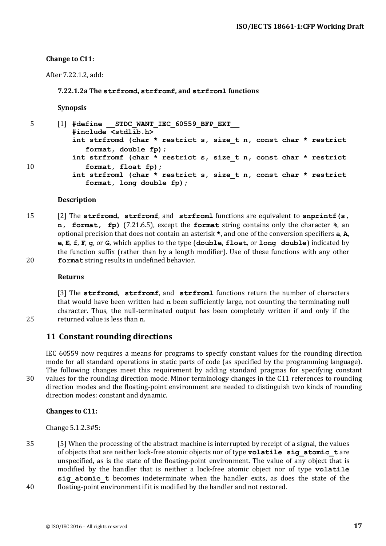### **Change to C11:**

After 7.22.1.2, add:

**7.22.1.2a The strfromd, strfromf, and strfroml functions**

**Synopsis**

5 [1] **#define \_\_STDC\_WANT\_IEC\_60559\_BFP\_EXT\_\_ #include <stdlib.h> int strfromd (char \* restrict s, size\_t n, const char \* restrict format, double fp); int strfromf (char \* restrict s, size\_t n, const char \* restrict** 10 **format, float fp)**; **int strfroml (char \* restrict s, size\_t n, const char \* restrict format, long double fp);** 

#### **Description**

15 [2] The strfromd, strfromf, and strfroml functions are equivalent to snprintf(s, **n, format, fp)** (7.21.6.5), except the **format** string contains only the character  $\frac{1}{6}$ , an optional precision that does not contain an asterisk  $*$ , and one of the conversion specifiers **a**, **A**, **e**, **E**, **f**, **F**, **g**, or **G**, which applies to the type (**double**, **float**, or long double) indicated by the function suffix (rather than by a length modifier). Use of these functions with any other 20 **format** string results in undefined behavior.

#### **Returns**

[3] The **strfromd**, **strfromf**, and **strfroml** functions return the number of characters that would have been written had  $\bf{n}$  been sufficiently large, not counting the terminating null character. Thus, the null-terminated output has been completely written if and only if the 25 returned value is less than **n** 

# **11 Constant rounding directions**

IEC 60559 now requires a means for programs to specify constant values for the rounding direction mode for all standard operations in static parts of code (as specified by the programming language). The following changes meet this requirement by adding standard pragmas for specifying constant 30 values for the rounding direction mode. Minor terminology changes in the C11 references to rounding direction modes and the floating-point environment are needed to distinguish two kinds of rounding direction modes: constant and dynamic.

#### **Changes** to C11:

Change 5.1.2.3#5:

35 [5] When the processing of the abstract machine is interrupted by receipt of a signal, the values of objects that are neither lock-free atomic objects nor of type **volatile** sig atomic tare unspecified, as is the state of the floating-point environment. The value of any object that is modified by the handler that is neither a lock-free atomic object nor of type **volatile sig atomic t** becomes indeterminate when the handler exits, as does the state of the 40 floating-point environment if it is modified by the handler and not restored.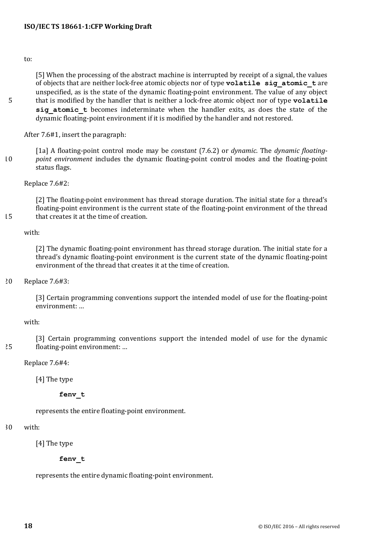to:

[5] When the processing of the abstract machine is interrupted by receipt of a signal, the values of objects that are neither lock-free atomic objects nor of type **volatile** sig atomic tare unspecified, as is the state of the dynamic floating-point environment. The value of any object 5 that is modified by the handler that is neither a lock-free atomic object nor of type **volatile** sig atomic t becomes indeterminate when the handler exits, as does the state of the dynamic floating-point environment if it is modified by the handler and not restored.

After  $7.6#1$ , insert the paragraph:

[1a] A floating-point control mode may be *constant* (7.6.2) or *dynamic*. The *dynamic floating-*10 *point environment* includes the dynamic floating-point control modes and the floating-point status flags.

Replace 7.6#2:

[2] The floating-point environment has thread storage duration. The initial state for a thread's floating-point environment is the current state of the floating-point environment of the thread 15 that creates it at the time of creation.

with:

[2] The dynamic floating-point environment has thread storage duration. The initial state for a thread's dynamic floating-point environment is the current state of the dynamic floating-point environment of the thread that creates it at the time of creation.

# 20 Replace 7.6#3:

[3] Certain programming conventions support the intended model of use for the floating-point environment: ...

with:

[3] Certain programming conventions support the intended model of use for the dynamic 25 floating-point environment: ...

Replace 7.6#4:

[4] The type

**fenv\_t**

represents the entire floating-point environment.

30 with:

[4] The type

**fenv\_t**

represents the entire dynamic floating-point environment.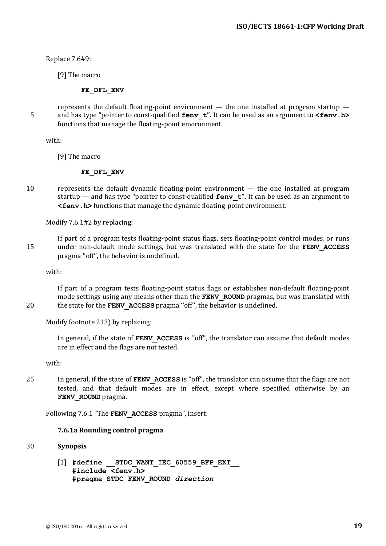Replace 7.6#9:

[9] The macro

### **FE\_DFL\_ENV**

represents the default floating-point environment  $-$  the one installed at program startup  $-$ 5 and has type "pointer to const-qualified **fenv** t". It can be used as an argument to **<fenv.h>** functions that manage the floating-point environment.

with:

[9] The macro

#### **FE\_DFL\_ENV**

10 represents the default dynamic floating-point environment — the one installed at program startup — and has type "pointer to const-qualified  $fenv$   $t$ ". It can be used as an argument to **<fenv.h>** functions that manage the dynamic floating-point environment.

Modify 7.6.1#2 by replacing:

If part of a program tests floating-point status flags, sets floating-point control modes, or runs 15 under non-default mode settings, but was translated with the state for the **FENV ACCESS** pragma "off", the behavior is undefined.

with:

If part of a program tests floating-point status flags or establishes non-default floating-point mode settings using any means other than the **FENV** ROUND pragmas, but was translated with 20 the state for the **FENV** ACCESS pragma "off", the behavior is undefined.

Modify footnote 213) by replacing:

In general, if the state of FENV ACCESS is "off", the translator can assume that default modes are in effect and the flags are not tested.

with:

25 In general, if the state of **FENV ACCESS** is "off", the translator can assume that the flags are not tested, and that default modes are in effect, except where specified otherwise by an **FENV\_ROUND** pragma.

Following 7.6.1 "The **FENV ACCESS** pragma", insert:

#### **7.6.1a Rounding control pragma**

#### 30 **Synopsis**

[1] **#define \_\_STDC\_WANT\_IEC\_60559\_BFP\_EXT\_\_ #include <fenv.h> #pragma STDC FENV\_ROUND** *direction*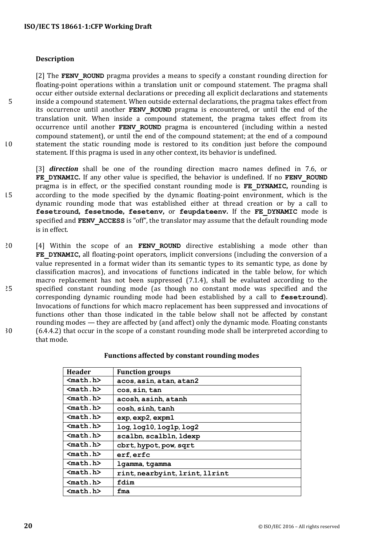## **Description**

[2] The **FENV** ROUND pragma provides a means to specify a constant rounding direction for floating-point operations within a translation unit or compound statement. The pragma shall occur either outside external declarations or preceding all explicit declarations and statements 5 inside a compound statement. When outside external declarations, the pragma takes effect from its occurrence until another FENV ROUND pragma is encountered, or until the end of the translation unit. When inside a compound statement, the pragma takes effect from its occurrence until another FENV ROUND pragma is encountered (including within a nested compound statement), or until the end of the compound statement; at the end of a compound 10 statement the static rounding mode is restored to its condition just before the compound statement. If this pragma is used in any other context, its behavior is undefined.

[3] *direction* shall be one of the rounding direction macro names defined in 7.6, or FE DYNAMIC. If any other value is specified, the behavior is undefined. If no FENV ROUND pragma is in effect, or the specified constant rounding mode is **FE DYNAMIC**, rounding is 15 according to the mode specified by the dynamic floating-point environment, which is the dynamic rounding mode that was established either at thread creation or by a call to **fesetround, fesetmode, fesetenv, or feupdateenv.** If the FE DYNAMIC mode is specified and **FENV** ACCESS is "off", the translator may assume that the default rounding mode is in effect.

20 [4] Within the scope of an **FENV ROUND** directive establishing a mode other than FE DYNAMIC, all floating-point operators, implicit conversions (including the conversion of a value represented in a format wider than its semantic types to its semantic type, as done by classification macros), and invocations of functions indicated in the table below, for which macro replacement has not been suppressed  $(7.1.4)$ , shall be evaluated according to the 25 specified constant rounding mode (as though no constant mode was specified and the corresponding dynamic rounding mode had been established by a call to **fesetround**). Invocations of functions for which macro replacement has been suppressed and invocations of functions other than those indicated in the table below shall not be affected by constant rounding modes  $-$  they are affected by (and affect) only the dynamic mode. Floating constants 30 (6.4.4.2) that occur in the scope of a constant rounding mode shall be interpreted according to that mode.

| <b>Header</b> | <b>Function groups</b>         |
|---------------|--------------------------------|
| $math. h>$    | acos, asin, atan, atan2        |
| $math. h>$    | cos, sin, tan                  |
| $math. h>$    | acosh, asinh, atanh            |
| $math. h>$    | cosh, sinh, tanh               |
| $math. h>$    | exp, exp2, expm1               |
| $nab.h>$      | log, log10, log1p, log2        |
| $math. h>$    | scalbn, scalbln, ldexp         |
| $math. h>$    | cbrt, hypot, pow, sqrt         |
| $math. h>$    | erf, erfc                      |
| $math. h>$    | lgamma, tgamma                 |
| $math. h>$    | rint, nearbyint, lrint, llrint |
| $math. h>$    | fdim                           |
| $math. h>$    | fma                            |

#### **Functions affected by constant rounding modes**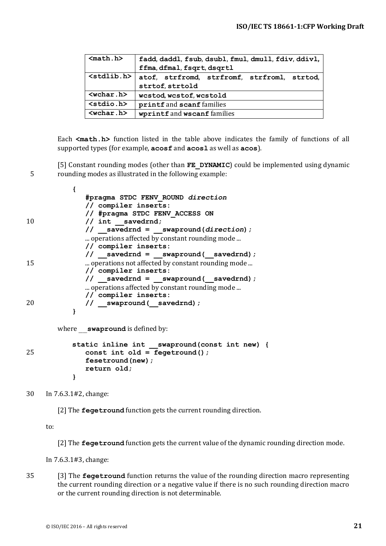| $math.h>$                                   | fadd, daddl, fsub, dsubl, fmul, dmull, fdiv, ddivl, |  |
|---------------------------------------------|-----------------------------------------------------|--|
|                                             | ffma, dfmal, fsqrt, dsqrtl                          |  |
| $\left\langle \text{stdlib.h}\right\rangle$ | atof, strfromd, strfromf, strfroml, strtod,         |  |
|                                             | strtof, strtold                                     |  |
| $\langle$ wchar.h $\rangle$                 | wcstod, wcstof, wcstold                             |  |
| $<$ stdio.h $>$                             | printf and scanf families                           |  |
| $\langle$ wchar.h $\rangle$                 | wprintf and wscanf families                         |  |

Each <math.h> function listed in the table above indicates the family of functions of all supported types (for example,  $\texttt{acos} \, \texttt{f}$  and  $\texttt{acos} \, \texttt{l}$  as well as  $\texttt{acos}$ ).

[5] Constant rounding modes (other than **FE\_DYNAMIC**) could be implemented using dynamic 5 rounding modes as illustrated in the following example:

|    | #pragma STDC FENV ROUND direction                 |
|----|---------------------------------------------------|
|    | // compiler inserts:                              |
|    | // #pragma STDC FENV ACCESS ON                    |
| 10 | // int savedrnd;                                  |
|    | $//$ savedrnd = swapround(direction);             |
|    | operations affected by constant rounding mode     |
|    | // compiler inserts:                              |
|    | // savedrnd = swapround(savedrnd);                |
| 15 | operations not affected by constant rounding mode |
|    | // compiler inserts:                              |
|    | $\frac{1}{1}$ savedrnd = swapround(savedrnd);     |
|    | operations affected by constant rounding mode     |
|    | // compiler inserts:                              |
| 20 | // swapround(savedrnd);                           |
|    |                                                   |
|    |                                                   |

where **swapround** is defined by:

```
static inline int __swapround(const int new) {
25 const int old = fegetround();
            fesetround(new);
            return old;
          }
```
30 In 7.6.3.1#2, change:

[2] The **fegetround** function gets the current rounding direction.

to:

[2] The **fegetround** function gets the current value of the dynamic rounding direction mode.

In 7.6.3.1#3, change:

35 [3] The **fegetround** function returns the value of the rounding direction macro representing the current rounding direction or a negative value if there is no such rounding direction macro or the current rounding direction is not determinable.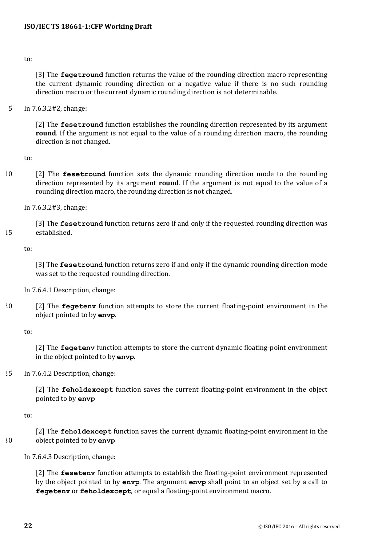### **ISO/IEC TS 18661-1:CFP Working Draft**

to:

[3] The **fegetround** function returns the value of the rounding direction macro representing the current dynamic rounding direction or a negative value if there is no such rounding direction macro or the current dynamic rounding direction is not determinable.

5 In 7.6.3.2#2, change:

[2] The **fesetround** function establishes the rounding direction represented by its argument **round**. If the argument is not equal to the value of a rounding direction macro, the rounding direction is not changed.

to:

10 [2] The **fesetround** function sets the dynamic rounding direction mode to the rounding direction represented by its argument **round**. If the argument is not equal to the value of a rounding direction macro, the rounding direction is not changed.

In 7.6.3.2#3, change:

[3] The **fesetround** function returns zero if and only if the requested rounding direction was 15 established.

to:

[3] The **fesetround** function returns zero if and only if the dynamic rounding direction mode was set to the requested rounding direction.

- In 7.6.4.1 Description, change:
- 20 [2] The **fegetenv** function attempts to store the current floating-point environment in the object pointed to by **envp**.

to:

[2] The **fegetenv** function attempts to store the current dynamic floating-point environment in the object pointed to by **envp**.

# 25 In 7.6.4.2 Description, change:

[2] The **feholdexcept** function saves the current floating-point environment in the object pointed to by **envp** 

to:

[2] The **feholdexcept** function saves the current dynamic floating-point environment in the 30 object pointed to by **envp** 

In 7.6.4.3 Description, change:

[2] The **feseteny** function attempts to establish the floating-point environment represented by the object pointed to by **envp**. The argument **envp** shall point to an object set by a call to **fegeteny** or **feholdexcept**, or equal a floating-point environment macro.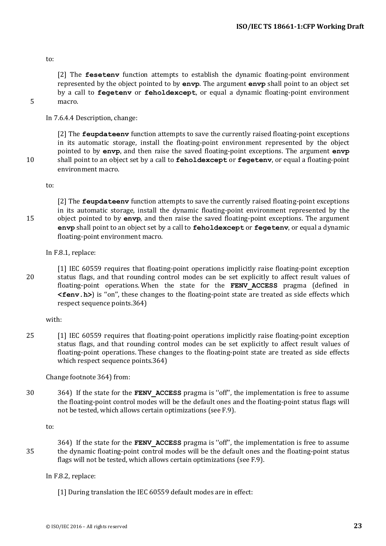to:

[2] The **fesetenv** function attempts to establish the dynamic floating-point environment represented by the object pointed to by **envp**. The argument **envp** shall point to an object set by a call to **fegeteny** or **feholdexcept**, or equal a dynamic floating-point environment 5 macro.

In 7.6.4.4 Description, change:

[2] The **feupdateenv** function attempts to save the currently raised floating-point exceptions in its automatic storage, install the floating-point environment represented by the object pointed to by **envp**, and then raise the saved floating-point exceptions. The argument **envp** 10 shall point to an object set by a call to **feholdexcept** or **fegeteny**, or equal a floating-point environment macro.

to:

[2] The **feupdateenv** function attempts to save the currently raised floating-point exceptions in its automatic storage, install the dynamic floating-point environment represented by the 15 object pointed to by **envp**, and then raise the saved floating-point exceptions. The argument **envp** shall point to an object set by a call to **feholdexcept** or **fegetenv**, or equal a dynamic floating-point environment macro.

In F.8.1, replace:

[1] IEC 60559 requires that floating-point operations implicitly raise floating-point exception 20 status flags, and that rounding control modes can be set explicitly to affect result values of floating-point operations. When the state for the **FENV ACCESS** pragma (defined in **<fenv.h>**) is "on", these changes to the floating-point state are treated as side effects which respect sequence points.364)

with:

25 [1] IEC 60559 requires that floating-point operations implicitly raise floating-point exception status flags, and that rounding control modes can be set explicitly to affect result values of floating-point operations. These changes to the floating-point state are treated as side effects which respect sequence points.364)

Change footnote 364) from:

30 364) If the state for the **FENV ACCESS** pragma is "off", the implementation is free to assume the floating-point control modes will be the default ones and the floating-point status flags will not be tested, which allows certain optimizations (see F.9).

to:

364) If the state for the **FENV ACCESS** pragma is "off", the implementation is free to assume 35 the dynamic floating-point control modes will be the default ones and the floating-point status flags will not be tested, which allows certain optimizations (see F.9).

In F.8.2, replace:

[1] During translation the IEC 60559 default modes are in effect: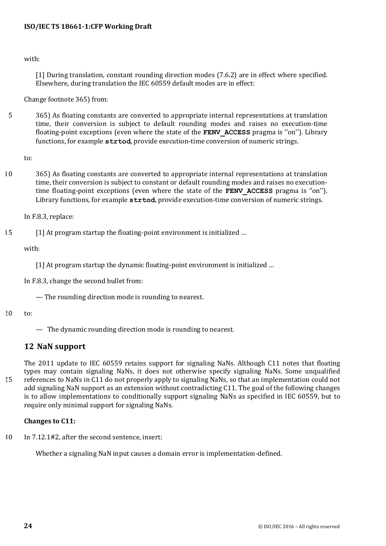# **ISO/IEC TS 18661-1:CFP Working Draft**

with:

[1] During translation, constant rounding direction modes (7.6.2) are in effect where specified. Elsewhere, during translation the IEC 60559 default modes are in effect:

Change footnote 365) from:

5 365) As floating constants are converted to appropriate internal representations at translation time, their conversion is subject to default rounding modes and raises no execution-time floating-point exceptions (even where the state of the **FENV ACCESS** pragma is "on"). Library functions, for example **strtod**, provide execution-time conversion of numeric strings.

to:

10 365) As floating constants are converted to appropriate internal representations at translation time, their conversion is subject to constant or default rounding modes and raises no executiontime floating-point exceptions (even where the state of the **FENV ACCESS** pragma is "on"). Library functions, for example strtod, provide execution-time conversion of numeric strings.

In F.8.3, replace:

15 [1] At program startup the floating-point environment is initialized ...

with:

[1] At program startup the dynamic floating-point environment is initialized ...

In F.8.3, change the second bullet from:

- The rounding direction mode is rounding to nearest.
- 20 to:
- $-$  The dynamic rounding direction mode is rounding to nearest.

#### **12 NaN support**

The  $2011$  update to IEC 60559 retains support for signaling NaNs. Although C11 notes that floating types may contain signaling NaNs, it does not otherwise specify signaling NaNs. Some unqualified <sup>25</sup> references to NaNs in C11 do not properly apply to signaling NaNs, so that an implementation could not add signaling NaN support as an extension without contradicting C11. The goal of the following changes is to allow implementations to conditionally support signaling NaNs as specified in IEC 60559, but to require only minimal support for signaling NaNs.

#### **Changes** to C11:

30 In 7.12.1#2, after the second sentence, insert:

Whether a signaling NaN input causes a domain error is implementation-defined.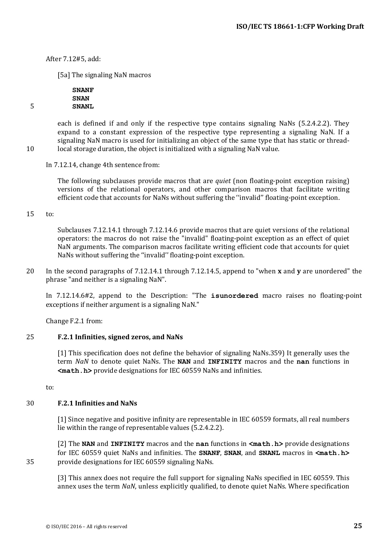After 7.12#5, add:

[5a] The signaling NaN macros

**SNANF SNAN** 5 **SNANL**

each is defined if and only if the respective type contains signaling NaNs  $(5.2.4.2.2)$ . They expand to a constant expression of the respective type representing a signaling NaN. If a signaling NaN macro is used for initializing an object of the same type that has static or thread-10 local storage duration, the object is initialized with a signaling NaN value.

In 7.12.14, change 4th sentence from:

The following subclauses provide macros that are *quiet* (non floating-point exception raising) versions of the relational operators, and other comparison macros that facilitate writing efficient code that accounts for NaNs without suffering the "invalid" floating-point exception.

15 to:

Subclauses 7.12.14.1 through 7.12.14.6 provide macros that are quiet versions of the relational operators: the macros do not raise the "invalid" floating-point exception as an effect of quiet NaN arguments. The comparison macros facilitate writing efficient code that accounts for quiet NaNs without suffering the "invalid" floating-point exception.

20 In the second paragraphs of 7.12.14.1 through 7.12.14.5, append to "when **x** and **y** are unordered" the phrase "and neither is a signaling NaN".

In 7.12.14.6#2, append to the Description: "The **isunordered** macro raises no floating-point exceptions if neither argument is a signaling NaN."

Change F.2.1 from:

#### 25 **F.2.1 Infinities, signed zeros, and NaNs**

[1] This specification does not define the behavior of signaling NaNs.359) It generally uses the term *NaN* to denote quiet NaNs. The **NAN** and **INFINITY** macros and the nan functions in **<math.h>** provide designations for IEC 60559 NaNs and infinities.

to:

### 30 **F.2.1 Infinities and NaNs**

[1] Since negative and positive infinity are representable in IEC 60559 formats, all real numbers lie within the range of representable values (5.2.4.2.2).

[2] The **NAN** and **INFINITY** macros and the **nan** functions in  $\text{Kmath}$ **. h>** provide designations for IEC 60559 quiet NaNs and infinities. The **SNANF**, **SNAN**, and **SNANL** macros in **<math.h>** 35 provide designations for IEC 60559 signaling NaNs.

[3] This annex does not require the full support for signaling NaNs specified in IEC 60559. This annex uses the term *NaN*, unless explicitly qualified, to denote quiet NaNs. Where specification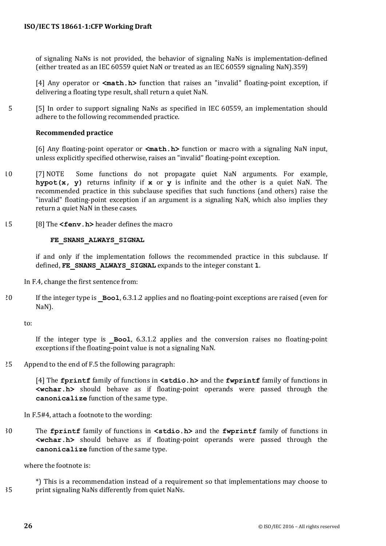of signaling NaNs is not provided, the behavior of signaling NaNs is implementation-defined (either treated as an IEC 60559 quiet NaN or treated as an IEC 60559 signaling NaN).359)

[4] Any operator or **<math.h>** function that raises an "invalid" floating-point exception, if delivering a floating type result, shall return a quiet NaN.

5 [5] In order to support signaling NaNs as specified in IEC 60559, an implementation should adhere to the following recommended practice.

#### **Recommended practice**

[6] Any floating-point operator or **<math.h>** function or macro with a signaling NaN input, unless explicitly specified otherwise, raises an "invalid" floating-point exception.

- 10 [7] NOTE Some functions do not propagate quiet NaN arguments. For example, **hypot(x, y)** returns infinity if **x** or **y** is infinite and the other is a quiet NaN. The recommended practice in this subclause specifies that such functions (and others) raise the "invalid" floating-point exception if an argument is a signaling NaN, which also implies they return a quiet NaN in these cases.
- 15 [8] The **<fenv.h>** header defines the macro

### FE SNANS ALWAYS SIGNAL

if and only if the implementation follows the recommended practice in this subclause. If defined, FE SNANS ALWAYS SIGNAL expands to the integer constant 1.

In F.4, change the first sentence from:

20 If the integer type is **Boo1**, 6.3.1.2 applies and no floating-point exceptions are raised (even for NaN).

to:

If the integer type is  $Bool$ ,  $6.3.1.2$  applies and the conversion raises no floating-point exceptions if the floating-point value is not a signaling NaN.

 $25$  Append to the end of F.5 the following paragraph:

[4] The **fprintf** family of functions in **<stdio.h>** and the **fwprintf** family of functions in **<wchar.h>** should behave as if floating-point operands were passed through the **canonicalize** function of the same type.

In F.5#4, attach a footnote to the wording:

30 The **fprintf** family of functions in  $\leq$  **tdio.h>** and the **fwprintf** family of functions in **Example 20** should behave as if floating-point operands were passed through the canonicalize function of the same type.

where the footnote is:

\*) This is a recommendation instead of a requirement so that implementations may choose to 35 print signaling NaNs differently from quiet NaNs.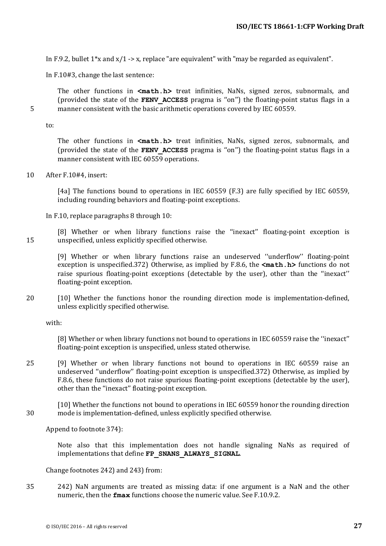In F.9.2, bullet  $1*x$  and  $x/1$  -> x, replace "are equivalent" with "may be regarded as equivalent".

In  $F.10#3$ , change the last sentence:

The other functions in <math.h> treat infinities, NaNs, signed zeros, subnormals, and (provided the state of the **FENV ACCESS** pragma is "on") the floating-point status flags in a 5 manner consistent with the basic arithmetic operations covered by IEC 60559.

to:

The other functions in <math.h> treat infinities, NaNs, signed zeros, subnormals, and (provided the state of the **FENV ACCESS** pragma is "on") the floating-point status flags in a manner consistent with IEC 60559 operations.

10 After F.10#4, insert:

[4a] The functions bound to operations in IEC 60559 (F.3) are fully specified by IEC 60559, including rounding behaviors and floating-point exceptions.

In F.10, replace paragraphs  $8$  through  $10$ :

[8] Whether or when library functions raise the "inexact" floating-point exception is 15 unspecified, unless explicitly specified otherwise.

[9] Whether or when library functions raise an undeserved "underflow" floating-point exception is unspecified.372) Otherwise, as implied by F.8.6, the  $\text{ $math.h$ }$  functions do not raise spurious floating-point exceptions (detectable by the user), other than the "inexact" floating-point exception.

20 [10] Whether the functions honor the rounding direction mode is implementation-defined, unless explicitly specified otherwise.

with:

[8] Whether or when library functions not bound to operations in IEC 60559 raise the "inexact" floating-point exception is unspecified, unless stated otherwise.

- 25 [9] Whether or when library functions not bound to operations in IEC 60559 raise an undeserved "underflow" floating-point exception is unspecified.372) Otherwise, as implied by F.8.6, these functions do not raise spurious floating-point exceptions (detectable by the user), other than the "inexact" floating-point exception.
- [10] Whether the functions not bound to operations in IEC 60559 honor the rounding direction 30 mode is implementation-defined, unless explicitly specified otherwise.

Append to footnote 374):

Note also that this implementation does not handle signaling NaNs as required of implementations that define FP SNANS ALWAYS SIGNAL.

Change footnotes 242) and 243) from:

35 242) NaN arguments are treated as missing data: if one argument is a NaN and the other numeric, then the **fmax** functions choose the numeric value. See F.10.9.2.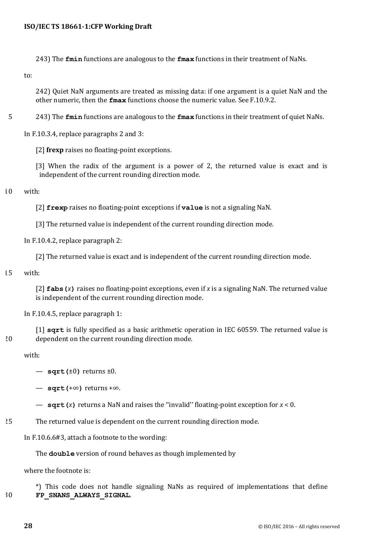243) The **fmin** functions are analogous to the **fmax** functions in their treatment of NaNs.

to:

242) Quiet NaN arguments are treated as missing data: if one argument is a quiet NaN and the other numeric, then the **fmax** functions choose the numeric value. See F.10.9.2.

5 243) The **fmin** functions are analogous to the **fmax** functions in their treatment of quiet NaNs.

In F.10.3.4, replace paragraphs  $2$  and  $3$ :

[2] frexp raises no floating-point exceptions.

[3] When the radix of the argument is a power of 2, the returned value is exact and is independent of the current rounding direction mode.

### 10 with:

[2] **frexp** raises no floating-point exceptions if **value** is not a signaling NaN.

[3] The returned value is independent of the current rounding direction mode.

In  $F.10.4.2$ , replace paragraph 2:

[2] The returned value is exact and is independent of the current rounding direction mode.

#### 15 with:

[2]  $fabs(x)$  raises no floating-point exceptions, even if x is a signaling NaN. The returned value is independent of the current rounding direction mode.

In  $F.10.4.5$ , replace paragraph 1:

[1] **sqrt** is fully specified as a basic arithmetic operation in IEC 60559. The returned value is 20 dependent on the current rounding direction mode.

#### with:

 $-$  sqrt( $\pm 0$ ) returns  $\pm 0$ .

— **sqrt(**+∞**)** returns +∞.

 $\rightarrow$  sqrt(*x*) returns a NaN and raises the "invalid" floating-point exception for  $x < 0$ .

25 The returned value is dependent on the current rounding direction mode.

In  $F.10.6.6\#3$ , attach a footnote to the wording:

The **double** version of round behaves as though implemented by

where the footnote is:

\*) This code does not handle signaling NaNs as required of implementations that define 30 **FP\_SNANS\_ALWAYS\_SIGNAL**.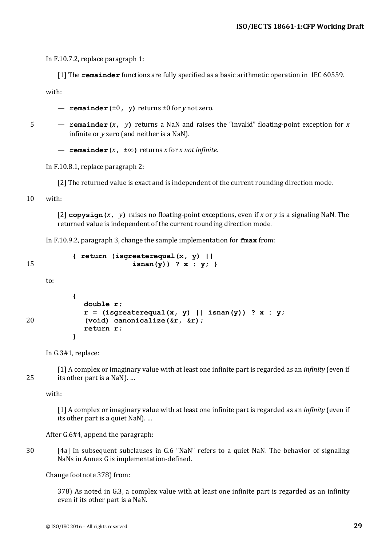In F.10.7.2, replace paragraph  $1$ :

[1] The **remainder** functions are fully specified as a basic arithmetic operation in IEC 60559.

with:

 $-$  **remainder(** $\pm 0$ , y) returns  $\pm 0$  for *y* not zero.

5 **— remainder(***x*, *y*) returns a NaN and raises the "invalid" floating-point exception for *x* infinite or *y* zero (and neither is a NaN).

 $\rightarrow$  **remainder** (*x*,  $\pm \infty$ ) returns *x* for *x not infinite.* 

In  $F.10.8.1$ , replace paragraph 2:

[2] The returned value is exact and is independent of the current rounding direction mode.

10 with:

[2] copysign(*x*, *y*) raises no floating-point exceptions, even if *x* or *y* is a signaling NaN. The returned value is independent of the current rounding direction mode.

In F.10.9.2, paragraph 3, change the sample implementation for **fmax** from:

$$
\{ return (isgreaterequal(x, y) ||\nisnan(y)) ? x : y; }
$$

to:

```
{
            double r;
            r = (isgreaterequal(x, y) || isnan(y)) ? x : y;
20 (void) canonicalize(&r, &r);
            return r;
          }
```
In G.3#1, replace:

[1] A complex or imaginary value with at least one infinite part is regarded as an *infinity* (even if 25 its other part is a NaN). ...

with:

[1] A complex or imaginary value with at least one infinite part is regarded as an *infinity* (even if its other part is a quiet NaN). …

After G.6#4, append the paragraph:

30 [4a] In subsequent subclauses in G.6 "NaN" refers to a quiet NaN. The behavior of signaling NaNs in Annex G is implementation-defined.

Change footnote 378) from:

 $378$ ) As noted in G.3, a complex value with at least one infinite part is regarded as an infinity even if its other part is a NaN.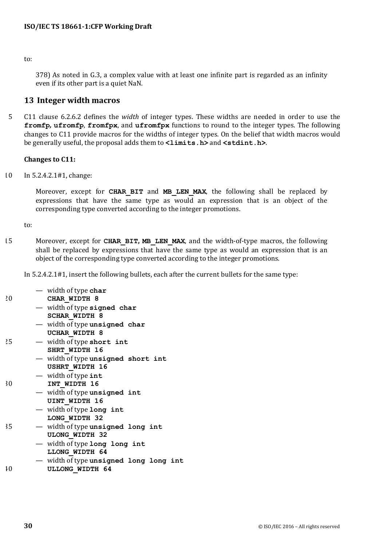to:

378) As noted in G.3, a complex value with at least one infinite part is regarded as an infinity even if its other part is a quiet NaN.

# **13 Integer width macros**

5 C11 clause 6.2.6.2 defines the *width* of integer types. These widths are needed in order to use the **fromfp**, **ufromfp**, **fromfpx**, and **ufromfpx** functions to round to the integer types. The following changes to C11 provide macros for the widths of integer types. On the belief that width macros would be generally useful, the proposal adds them to  $\langle$ limits.h> and  $\langle$ stdint.h>.

#### **Changes to C11:**

10 In 5.2.4.2.1#1, change:

Moreover, except for CHAR BIT and MB LEN MAX, the following shall be replaced by expressions that have the same type as would an expression that is an object of the corresponding type converted according to the integer promotions.

to:

15 Moreover, except for **CHAR BIT, MB LEN MAX**, and the width-of-type macros, the following shall be replaced by expressions that have the same type as would an expression that is an object of the corresponding type converted according to the integer promotions.

In  $5.2.4.2.1\text{#1}$ , insert the following bullets, each after the current bullets for the same type:

|                 | — width of type char                   |
|-----------------|----------------------------------------|
| 20              | CHAR WIDTH 8                           |
|                 | width of type signed char              |
|                 | <b>SCHAR WIDTH 8</b>                   |
|                 | - width of type unsigned char          |
|                 | UCHAR WIDTH 8                          |
| 25              | - width of type short int              |
|                 | SHRT WIDTH 16                          |
|                 | - width of type unsigned short int     |
|                 | <b>USHRT WIDTH 16</b>                  |
|                 | — width of type $\texttt{int}$         |
| 30 <sup>°</sup> | INT WIDTH 16                           |
|                 | - width of type unsigned int           |
|                 | <b>UINT WIDTH 16</b>                   |
|                 | - width of type long int               |
|                 | LONG WIDTH 32                          |
| 35              | - width of type unsigned long int      |
|                 | <b>ULONG WIDTH 32</b>                  |
|                 | - width of type long long int          |
|                 | LLONG WIDTH 64                         |
|                 | - width of type unsigned long long int |
| 10              | <b>ULLONG WIDTH 64</b>                 |
|                 |                                        |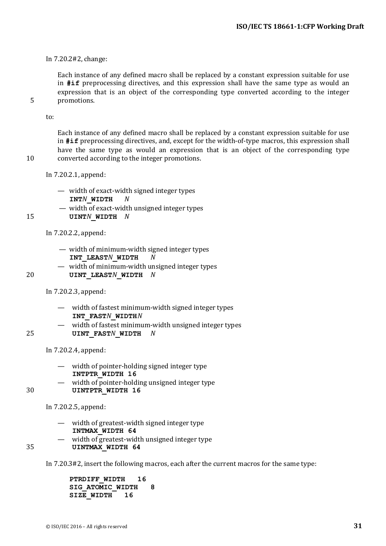In 7.20.2#2, change:

Each instance of any defined macro shall be replaced by a constant expression suitable for use in **#if** preprocessing directives, and this expression shall have the same type as would an expression that is an object of the corresponding type converted according to the integer 5 promotions. 

to:

Each instance of any defined macro shall be replaced by a constant expression suitable for use in **#if** preprocessing directives, and, except for the width-of-type macros, this expression shall have the same type as would an expression that is an object of the corresponding type 10 converted according to the integer promotions.

In  $7.20.2.1$ , append:

- width of exact-width signed integer types **INT***N***\_WIDTH** *N*
- width of exact-width unsigned integer types

```
15 UINTN_WIDTH N
```
In 7.20.2.2, append:

- width of minimum-width signed integer types **INT\_LEAST***N***\_WIDTH** *N*
- width of minimum-width unsigned integer types

20 **UINT\_LEAST***N***\_WIDTH** *N*

In 7.20.2.3, append:

- width of fastest minimum-width signed integer types **INT\_FAST***N***\_WIDTH***N*
- width of fastest minimum-width unsigned integer types
- 25 **UINT\_FAST***N***\_WIDTH** *N*

In 7.20.2.4, append:

- width of pointer-holding signed integer type **INTPTR\_WIDTH 16**
- width of pointer-holding unsigned integer type 30 **UINTPTR\_WIDTH 16**

In 7.20.2.5, append:

- width of greatest-width signed integer type **INTMAX\_WIDTH 64**
- width of greatest-width unsigned integer type

35 **UINTMAX\_WIDTH 64** 

In  $7.20.3#2$ , insert the following macros, each after the current macros for the same type:

**PTRDIFF\_WIDTH 16 SIG\_ATOMIC\_WIDTH 8 SIZE\_WIDTH 16**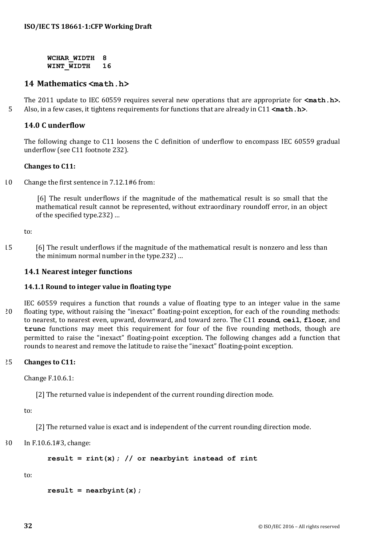**WCHAR\_WIDTH 8 WINT\_WIDTH 16** 

# **14 Mathematics <math.h>**

The 2011 update to IEC 60559 requires several new operations that are appropriate for  $\texttt{ $\text{math.h>}}$ .$ 5 Also, in a few cases, it tightens requirements for functions that are already in C11  $\epsilon$ **math.h>**.

# **14.0 C underflow**

The following change to C11 loosens the C definition of underflow to encompass IEC 60559 gradual underflow (see C11 footnote 232).

### **Changes** to C11:

 $10$  Change the first sentence in  $7.12.1#6$  from:

[6] The result underflows if the magnitude of the mathematical result is so small that the mathematical result cannot be represented, without extraordinary roundoff error, in an object of the specified type.232) ...

to:

15 [6] The result underflows if the magnitude of the mathematical result is nonzero and less than the minimum normal number in the type.232) ...

# **14.1 Nearest integer functions**

# **14.1.1** Round to integer value in floating type

IEC 60559 requires a function that rounds a value of floating type to an integer value in the same 20 floating type, without raising the "inexact" floating-point exception, for each of the rounding methods: to nearest, to nearest even, upward, downward, and toward zero. The C11 **round**, ceil, floor, and **trunc** functions may meet this requirement for four of the five rounding methods, though are permitted to raise the "inexact" floating-point exception. The following changes add a function that rounds to nearest and remove the latitude to raise the "inexact" floating-point exception.

#### 25 **Changes** to C11:

Change F.10.6.1:

[2] The returned value is independent of the current rounding direction mode.

to:

[2] The returned value is exact and is independent of the current rounding direction mode.

30 In F.10.6.1#3, change:

```
result = rint(x); // or nearbyint instead of rint
```
to:

```
result = nearbyint(x);
```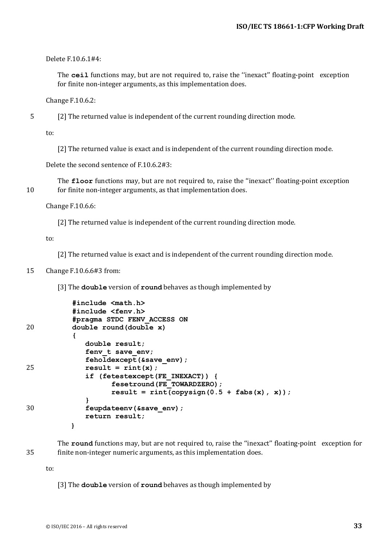Delete F.10.6.1#4:

The **ceil** functions may, but are not required to, raise the "inexact" floating-point exception for finite non-integer arguments, as this implementation does.

Change F.10.6.2:

5 [2] The returned value is independent of the current rounding direction mode.

to:

[2] The returned value is exact and is independent of the current rounding direction mode.

Delete the second sentence of F.10.6.2#3:

The **floor** functions may, but are not required to, raise the "inexact" floating-point exception 10 for finite non-integer arguments, as that implementation does.

Change F.10.6.6:

[2] The returned value is independent of the current rounding direction mode.

to:

[2] The returned value is exact and is independent of the current rounding direction mode.

#### 15 Change F.10.6.6#3 from:

[3] The **double** version of **round** behaves as though implemented by

```
#include <math.h>
          #include <fenv.h>
          #pragma STDC FENV_ACCESS ON
20 double round(double x)
          {
             double result;
             fenv t save env;
             feholdexcept(&save_env);
25 result = rint(x);
             if (fetestexcept(FE_INEXACT)) {
                  fesetround(FE_TOWARDZERO);
                  result = rint(copysign(0.5 + fabs(x), x));}
30 feupdateenv(&save_env);
             return result;
         }
```
The **round** functions may, but are not required to, raise the "inexact" floating-point exception for 35 finite non-integer numeric arguments, as this implementation does.

to:

[3] The **double** version of **round** behaves as though implemented by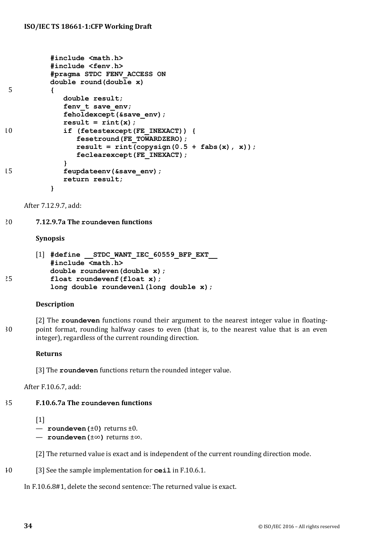|    | #include <math.h></math.h>                   |
|----|----------------------------------------------|
|    | #include <fenv.h></fenv.h>                   |
|    | #pragma STDC FENV ACCESS ON                  |
|    | double round (double x)                      |
| 5  |                                              |
|    | double result:                               |
|    | fenv t save env;                             |
|    | feholdexcept (&save env) ;                   |
|    | $result = rint(x)$ ;                         |
| 10 | if (fetestexcept(FE INEXACT)) {              |
|    | fesetround (FE TOWARDZERO);                  |
|    | result = $rint(copysign(0.5 + fabs(x), x));$ |
|    | feclearexcept (FE INEXACT) ;                 |
|    |                                              |
| 15 | feupdateenv(&save env);                      |
|    | return result;                               |
|    |                                              |

After 7.12.9.7, add:

20 **7.12.9.7a The roundeven functions** 

#### **Synopsis**

```
[1] #define __STDC_WANT_IEC_60559_BFP_EXT__
          #include <math.h>
          double roundeven(double x);
25 float roundevenf(float x);
          long double roundevenl(long double x);
```
#### **Description**

[2] The **roundeven** functions round their argument to the nearest integer value in floating-30 point format, rounding halfway cases to even (that is, to the nearest value that is an even integer), regardless of the current rounding direction.

#### **Returns**

[3] The **roundeven** functions return the rounded integer value.

After F.10.6.7, add:

#### 35 **F.10.6.7a The roundeven functions**

```
[1]
```

```
- roundeven (\pm 0) returns \pm 0.
```
- **roundeven(**±∞**)** returns ±∞.
- [2] The returned value is exact and is independent of the current rounding direction mode.
- 40 [3] See the sample implementation for **ceil** in F.10.6.1.

In F.10.6.8#1, delete the second sentence: The returned value is exact.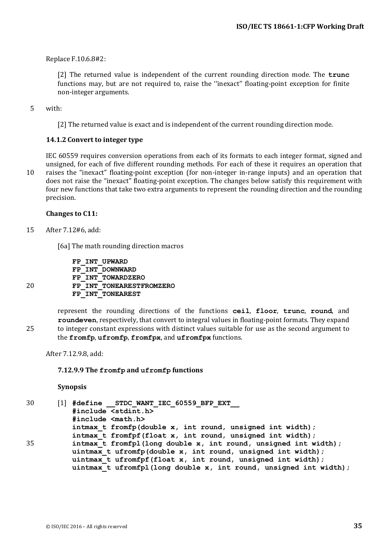Replace F.10.6.8#2:

[2] The returned value is independent of the current rounding direction mode. The **trunc** functions may, but are not required to, raise the "inexact" floating-point exception for finite non-integer arguments. 

5 with:

[2] The returned value is exact and is independent of the current rounding direction mode.

#### **14.1.2 Convert to integer type**

IEC 60559 requires conversion operations from each of its formats to each integer format, signed and unsigned, for each of five different rounding methods. For each of these it requires an operation that 10 raises the "inexact" floating-point exception (for non-integer in-range inputs) and an operation that does not raise the "inexact" floating-point exception. The changes below satisfy this requirement with four new functions that take two extra arguments to represent the rounding direction and the rounding precision.

#### **Changes** to C11:

- 15 After 7.12#6, add:
	- [6a] The math rounding direction macros

**FP\_INT\_UPWARD FP\_INT\_DOWNWARD FP\_INT\_TOWARDZERO**  20 **FP\_INT\_TONEARESTFROMZERO FP\_INT\_TONEAREST**

represent the rounding directions of the functions **ceil**, **floor**, **trunc**, **round**, and **roundeven**, respectively, that convert to integral values in floating-point formats. They expand 25 to integer constant expressions with distinct values suitable for use as the second argument to the **fromfp**, ufromfp, fromfpx, and ufromfpx functions.

After 7.12.9.8, add:

#### **7.12.9.9 The fromfp and ufromfp functions**

#### **Synopsis**

30 [1] **#define \_\_STDC\_WANT\_IEC\_60559\_BFP\_EXT\_\_ #include <stdint.h> #include <math.h> intmax\_t fromfp(double x, int round, unsigned int width); intmax\_t fromfpf(float x, int round, unsigned int width);** 35 **intmax\_t fromfpl(long double x, int round, unsigned int width); uintmax\_t ufromfp(double x, int round, unsigned int width); uintmax\_t ufromfpf(float x, int round, unsigned int width); uintmax\_t ufromfpl(long double x, int round, unsigned int width);**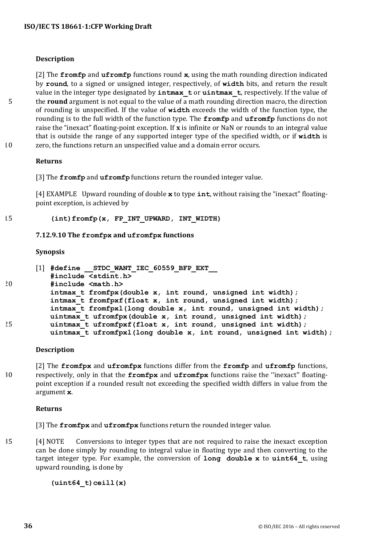### **Description**

[2] The **fromfp** and **ufromfp** functions round **x**, using the math rounding direction indicated by **round**, to a signed or unsigned integer, respectively, of width bits, and return the result value in the integer type designated by **intmax** t or **uintmax** t, respectively. If the value of 5 the **round** argument is not equal to the value of  $\overline{a}$  math rounding direction macro, the direction of rounding is unspecified. If the value of **width** exceeds the width of the function type, the rounding is to the full width of the function type. The  $fromfp$  and  $ufromfp$  functions do not raise the "inexact" floating-point exception. If **x** is infinite or NaN or rounds to an integral value that is outside the range of any supported integer type of the specified width, or if width is 10 zero, the functions return an unspecified value and a domain error occurs.

#### **Returns**

[3] The **fromfp** and **ufromfp** functions return the rounded integer value.

[4] EXAMPLE Upward rounding of double **x** to type **int**, without raising the "inexact" floatingpoint exception, is achieved by

#### 15 **(int)fromfp(x, FP\_INT\_UPWARD, INT\_WIDTH)**

#### **7.12.9.10 The fromfpx and ufromfpx functions**

#### **Synopsis**

|    | [1] #define STDC WANT IEC 60559 BFP EXT                                                                                                                                                                                                                               |
|----|-----------------------------------------------------------------------------------------------------------------------------------------------------------------------------------------------------------------------------------------------------------------------|
|    | #include <stdint.h></stdint.h>                                                                                                                                                                                                                                        |
| 20 | $\#include$ $\leq$ $\leq$ $\#$ $\leq$ $\leq$ $\leq$ $\leq$ $\leq$ $\leq$ $\leq$ $\leq$ $\leq$ $\leq$ $\leq$ $\leq$ $\leq$ $\leq$ $\leq$ $\leq$ $\leq$ $\leq$ $\leq$ $\leq$ $\leq$ $\leq$ $\leq$ $\leq$ $\leq$ $\leq$ $\leq$ $\leq$ $\leq$ $\leq$ $\leq$ $\leq$ $\leq$ |
|    | intmax t fromfpx (double x, int round, unsigned int width);                                                                                                                                                                                                           |
|    | intmax t fromfpxf(float x, int round, unsigned int width);                                                                                                                                                                                                            |
|    | intmax t fromfpx1(long double x, int round, unsigned int width);                                                                                                                                                                                                      |
|    | uintmax t ufromfpx (double x, int round, unsigned int width);                                                                                                                                                                                                         |
| 25 | uintmax t ufromfpxf(float x, int round, unsigned int width);                                                                                                                                                                                                          |
|    | uintmax t ufromfpxl(long double x, int round, unsigned int width);                                                                                                                                                                                                    |

#### **Description**

[2] The **fromfpx** and **ufromfpx** functions differ from the **fromfp** and **ufromfp** functions, 30 respectively, only in that the **fromfpx** and **ufromfpx** functions raise the "inexact" floatingpoint exception if a rounded result not exceeding the specified width differs in value from the argument **x**. 

#### **Returns**

[3] The **fromfpx** and **ufromfpx** functions return the rounded integer value.

35 [4] NOTE Conversions to integer types that are not required to raise the inexact exception can be done simply by rounding to integral value in floating type and then converting to the target integer type. For example, the conversion of long double x to uint64\_t, using upward rounding, is done by

# **(uint64\_t)ceill(x)**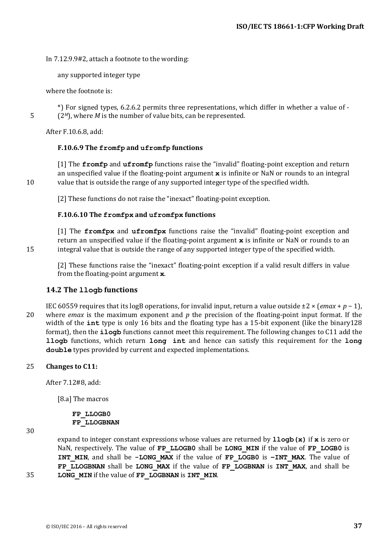In 7.12.9.9#2, attach a footnote to the wording:

any supported integer type

where the footnote is:

\*) For signed types, 6.2.6.2 permits three representations, which differ in whether a value of -5 (2*M*), where *M* is the number of value bits, can be represented.

After F.10.6.8, add:

### **F.10.6.9 The fromfp and ufromfp functions**

[1] The **fromfp** and **ufromfp** functions raise the "invalid" floating-point exception and return an unspecified value if the floating-point argument **x** is infinite or NaN or rounds to an integral 10 value that is outside the range of any supported integer type of the specified width.

[2] These functions do not raise the "inexact" floating-point exception.

# **F.10.6.10 The fromfpx and ufromfpx functions**

[1] The **fromfpx** and **ufromfpx** functions raise the "invalid" floating-point exception and return an unspecified value if the floating-point argument **x** is infinite or NaN or rounds to an 15 integral value that is outside the range of any supported integer type of the specified width.

[2] These functions raise the "inexact" floating-point exception if a valid result differs in value from the floating-point argument x.

# **14.2 The llogb functions**

IEC 60559 requires that its logB operations, for invalid input, return a value outside  $\pm 2 \times (emax + p - 1)$ , 20 where *emax* is the maximum exponent and  $p$  the precision of the floating-point input format. If the width of the **int** type is only 16 bits and the floating type has a 15-bit exponent (like the binary128 format), then the **ilogb** functions cannot meet this requirement. The following changes to C11 add the **llogb** functions, which return long int and hence can satisfy this requirement for the long **double** types provided by current and expected implementations.

#### 25 **Changes to C11:**

After 7.12#8, add:

[8.a] The macros

#### **FP\_LLOGB0 FP\_LLOGBNAN**

30

expand to integer constant expressions whose values are returned by  $1logb(x)$  if x is zero or NaN, respectively. The value of FP LLOGB0 shall be LONG MIN if the value of FP LOGB0 is **INT\_MIN**, and shall be -LONG\_MAX if the value of FP\_LOGB0 is -INT\_MAX. The value of FP\_LLOGBNAN shall be LONG\_MAX if the value of FP\_LOGBNAN is **INT\_MAX**, and shall be 35 **LONG MIN** if the value of **FP** LOGBNAN is **INT MIN**.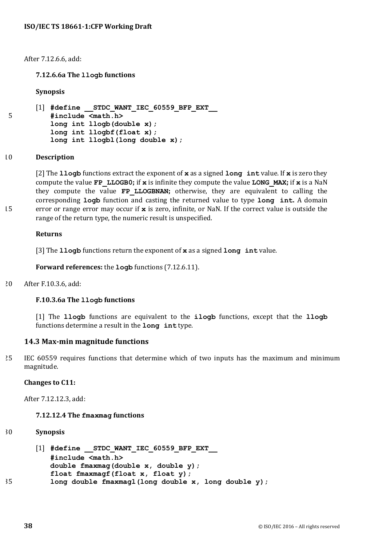After 7.12.6.6, add:

**7.12.6.6a The llogb functions** 

**Synopsis**

```
[1] #define __STDC_WANT_IEC_60559_BFP_EXT__
5 #include <math.h>
         long int llogb(double x);
         long int llogbf(float x);
         long int llogbl(long double x);
```
#### 10 **Description**

[2] The **llogb** functions extract the exponent of x as a signed **long** int value. If x is zero they compute the value **FP** LLOGB0; if x is infinite they compute the value LONG MAX; if x is a NaN they compute the value **FP LLOGBNAN**; otherwise, they are equivalent to calling the corresponding **logb** function and casting the returned value to type **long** int. A domain 15 error or range error may occur if x is zero, infinite, or NaN. If the correct value is outside the range of the return type, the numeric result is unspecified.

#### **Returns**

[3] The **llogb** functions return the exponent of x as a signed **long** int value.

**Forward references:** the **logb** functions (7.12.6.11).

20 After F.10.3.6, add:

#### **F.10.3.6a The llogb functions**

[1] The **llogb** functions are equivalent to the **ilogb** functions, except that the **llogb** functions determine a result in the **long** int type.

#### **14.3 Max-min magnitude functions**

25 IEC 60559 requires functions that determine which of two inputs has the maximum and minimum magnitude.

# **Changes to C11:**

After 7.12.12.3, add:

#### **7.12.12.4** The  $f$ maxmag functions

#### 30 **Synopsis**

```
[1] #define __STDC_WANT_IEC_60559_BFP_EXT__
          #include <math.h>

          double fmaxmag(double x, double y);
          float fmaxmagf(float x, float y);
35 long double fmaxmagl(long double x, long double y);
```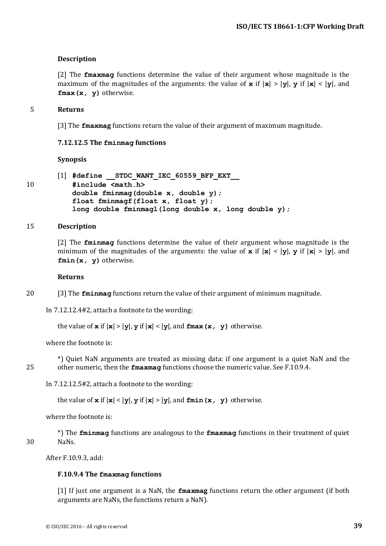# **Description**

[2] The **fmaxmag** functions determine the value of their argument whose magnitude is the maximum of the magnitudes of the arguments: the value of **x** if  $|x| > |y|$ , **y** if  $|x| < |y|$ , and **fmax(x, y)** otherwise.

#### 5 **Returns**

[3] The **fmaxmag** functions return the value of their argument of maximum magnitude.

#### **7.12.12.5** The  $f$ minmag functions

#### **Synopsis**

```
[1] #define __STDC_WANT_IEC_60559_BFP_EXT__
10 #include <math.h>

          double fminmag(double x, double y);
          float fminmagf(float x, float y);
          long double fminmagl(long double x, long double y);
```
#### 15 **Description**

[2] The **fminmag** functions determine the value of their argument whose magnitude is the minimum of the magnitudes of the arguments: the value of **x** if  $|x| < |y|$ , **y** if  $|x| > |y|$ , and **fmin(x, y)** otherwise.

#### **Returns**

20 [3] The **fininmag** functions return the value of their argument of minimum magnitude.

In  $7.12.12.4\#2$ , attach a footnote to the wording:

the value of  $\bf{x}$  if  $|\bf{x}| > |\bf{y}|$ ,  $\bf{y}$  if  $|\bf{x}| < |\bf{y}|$ , and  $\bf{fmax}$  ( $\bf{x}$ ,  $\bf{y}$ ) otherwise.

where the footnote is:

\*) Quiet NaN arguments are treated as missing data: if one argument is a quiet NaN and the 25 other numeric, then the **fmaxmag** functions choose the numeric value. See F.10.9.4.

In  $7.12.12.5\#2$ , attach a footnote to the wording:

the value of  $x$  if  $|x| < |y|$ ,  $y$  if  $|x| > |y|$ , and  $fmin(x, y)$  otherwise.

where the footnote is:

\*) The **fminmag** functions are analogous to the **fmaxmag** functions in their treatment of quiet 30 NaNs.

After F.10.9.3, add:

#### **F.10.9.4 The fmaxmag functions**

[1] If just one argument is a NaN, the **fmaxmag** functions return the other argument (if both arguments are NaNs, the functions return a NaN).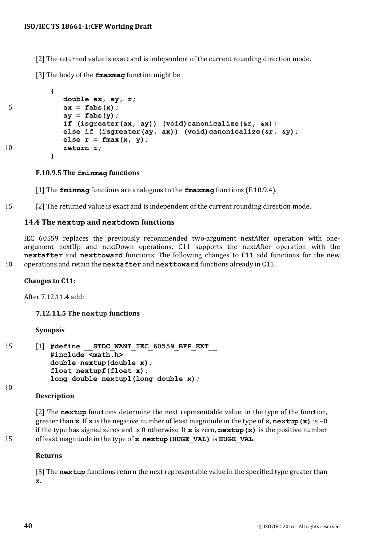- [2] The returned value is exact and is independent of the current rounding direction mode.
- [3] The body of the **fmaxmag** function might be

```
{ 
            double ax, ay, r;
5 ax = fabs(x);
            ay = fabs(y);
            if (isgreater(ax, ay)) (void)canonicalize(&r, &x);
            else if (isgreater(ay, ax)) (void)canonicalize(&r, &y);
            else r = fmax(x, y);
10 return r;
         }
```
**F.10.9.5 The fminmag functions**

[1] The **fminmag** functions are analogous to the **fmaxmag** functions (F.10.9.4).

15 [2] The returned value is exact and is independent of the current rounding direction mode.

#### 14.4 The nextup and nextdown functions

IEC 60559 replaces the previously recommended two-argument nextAfter operation with oneargument nextUp and nextDown operations. C11 supports the nextAfter operation with the **nextafter** and **nexttoward** functions. The following changes to C11 add functions for the new 20 operations and retain the **nextafter** and **nexttoward** functions already in C11.

#### **Changes to C11:**

After 7.12.11.4 add:

#### **7.12.11.5 The nextup functions**

#### **Synopsis**

```
25 [1] #define __STDC_WANT_IEC_60559_BFP_EXT__
          #include <math.h>
          double nextup(double x);
          float nextupf(float x);
          long double nextupl(long double x);
```
# 30

#### **Description**

[2] The nextup functions determine the next representable value, in the type of the function, greater than **x**. If **x** is the negative number of least magnitude in the type of **x**, **nextup** (**x**) is -0 if the type has signed zeros and is 0 otherwise. If  $\boldsymbol{x}$  is zero,  $\boldsymbol{\textit{nextup}}(\boldsymbol{x})$  is the positive number 35 of least magnitude in the type of **x**. **nextup** (HUGE VAL) is HUGE VAL.

#### **Returns**

[3] The nextup functions return the next representable value in the specified type greater than **x.**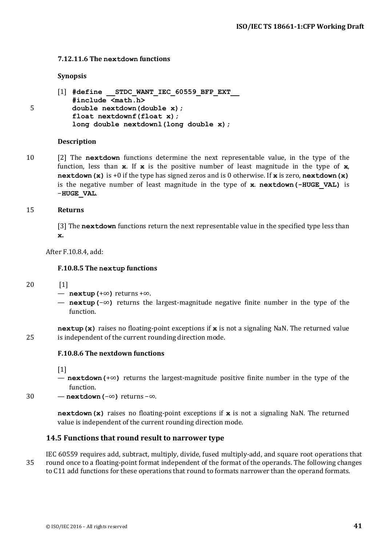### **7.12.11.6 The nextdown functions**

#### **Synopsis**

```
[1] #define STDC WANT IEC 60559 BFP EXT
         #include <math.h>
5 double nextdown(double x);
         float nextdownf(float x);
         long double nextdownl(long double x);
```
### **Description**

10 [2] The **nextdown** functions determine the next representable value, in the type of the function, less than  $x$ . If  $x$  is the positive number of least magnitude in the type of  $x$ , **nextdown(x)** is +0 if the type has signed zeros and is 0 otherwise. If x is zero, nextdown(x) is the negative number of least magnitude in the type of **x**. **nextdown(-HUGE VAL)** is −**HUGE\_VAL**.

#### 15 **Returns**

[3] The nextdown functions return the next representable value in the specified type less than **x.**

After F.10.8.4, add:

#### **F.10.8.5** The nextup functions

- 20 [1]
	- **nextup(**+∞**)** returns +∞.
	- **nextup(-∞)** returns the largest-magnitude negative finite number in the type of the function.

**nextup** (x) raises no floating-point exceptions if x is not a signaling NaN. The returned value 25 is independent of the current rounding direction mode.

#### **F.10.8.6** The nextdown functions

[1]

— **nextdown** (+∞) returns the largest-magnitude positive finite number in the type of the function.

30 — **nextdown(**−∞**)** returns −∞.

**nextdown(x)** raises no floating-point exceptions if x is not a signaling NaN. The returned value is independent of the current rounding direction mode.

# **14.5 Functions that round result to narrower type**

IEC 60559 requires add, subtract, multiply, divide, fused multiply-add, and square root operations that 35 round once to a floating-point format independent of the format of the operands. The following changes to C11 add functions for these operations that round to formats narrower than the operand formats.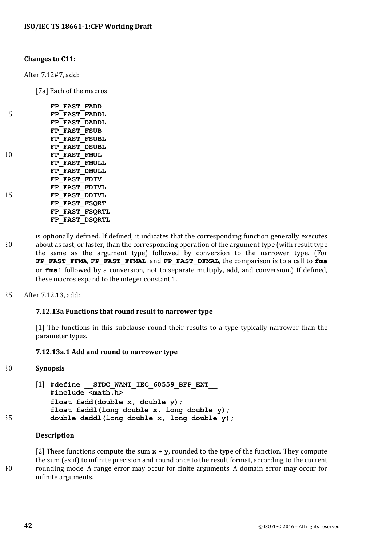### **Changes to C11:**

After 7.12#7, add:

[7a] Each of the macros

|    | FP FAST FADD   |  |
|----|----------------|--|
| 5  | FP FAST FADDL  |  |
|    | FP FAST DADDL  |  |
|    | FP FAST FSUB   |  |
|    | FP FAST FSUBL  |  |
|    | FP FAST DSUBL  |  |
| 10 | FP FAST FMUL   |  |
|    | FP FAST FMULL  |  |
|    | FP FAST DMULL  |  |
|    | FP FAST FDIV   |  |
|    | FP FAST FDIVL  |  |
| 15 | FP FAST DDIVL  |  |
|    | FP FAST FSORT  |  |
|    | FP FAST FSORTL |  |
|    | FP FAST DSORTL |  |

is optionally defined. If defined, it indicates that the corresponding function generally executes 20 about as fast, or faster, than the corresponding operation of the argument type (with result type the same as the argument type) followed by conversion to the narrower type. (For FP\_FAST\_FFMA, FP\_FAST\_FFMAL, and FP\_FAST\_DFMAL, the comparison is to a call to fma or **fmal** followed by a conversion, not to separate multiply, add, and conversion.) If defined, these macros expand to the integer constant 1.

25 After 7.12.13, add:

#### **7.12.13a** Functions that round result to narrower type

[1] The functions in this subclause round their results to a type typically narrower than the parameter types.

#### **7.12.13a.1 Add and round to narrower type**

```
30 Synopsis
```
[1] **#define \_\_STDC\_WANT\_IEC\_60559\_BFP\_EXT\_\_ #include <math.h> float fadd(double x, double y); float faddl(long double x, long double y);**  35 **double daddl(long double x, long double y);**

# **Description**

[2] These functions compute the sum  $x + y$ , rounded to the type of the function. They compute the sum (as if) to infinite precision and round once to the result format, according to the current 40 rounding mode. A range error may occur for finite arguments. A domain error may occur for infinite arguments.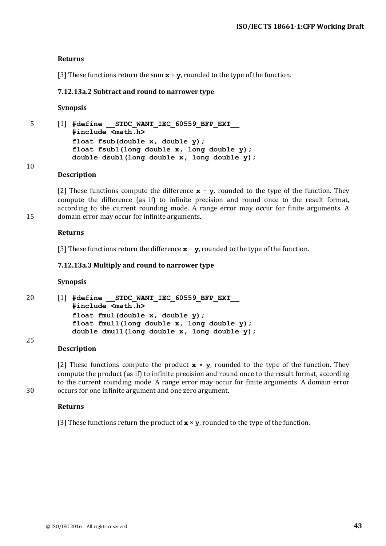#### **Returns**

[3] These functions return the sum  $x + y$ , rounded to the type of the function.

#### **7.12.13a.2 Subtract and round to narrower type**

**Synopsis**

5 [1] **#define \_\_STDC\_WANT\_IEC\_60559\_BFP\_EXT\_\_ #include <math.h> float fsub(double x, double y); float fsubl(long double x, long double y); double dsubl(long double x, long double y);**

# **Description**

10

25

[2] These functions compute the difference  $\mathbf{x}$  –  $\mathbf{y}$ , rounded to the type of the function. They compute the difference (as if) to infinite precision and round once to the result format, according to the current rounding mode. A range error may occur for finite arguments. A 15 domain error may occur for infinite arguments.

#### **Returns**

[3] These functions return the difference  $\mathbf{x}$  –  $\mathbf{y}$ , rounded to the type of the function.

### **7.12.13a.3 Multiply and round to narrower type**

#### **Synopsis**

20 [1] **#define \_\_STDC\_WANT\_IEC\_60559\_BFP\_EXT\_\_ #include <math.h> float fmul(double x, double y); float fmull(long double x, long double y); double dmull(long double x, long double y);**

#### **Description**

[2] These functions compute the product  $\mathbf{x} \times \mathbf{y}$ , rounded to the type of the function. They compute the product (as if) to infinite precision and round once to the result format, according to the current rounding mode. A range error may occur for finite arguments. A domain error 30 occurs for one infinite argument and one zero argument.

#### **Returns**

[3] These functions return the product of  $\mathbf{x} \times \mathbf{y}$ , rounded to the type of the function.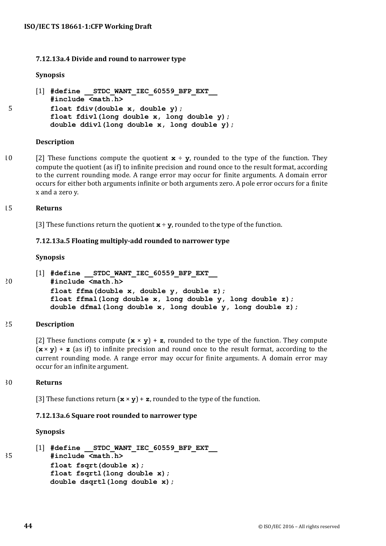#### **7.12.13a.4 Divide and round to narrower type**

#### **Synopsis**

```
[1] #define STDC WANT IEC 60559 BFP EXT
         #include <math.h>
5 float fdiv(double x, double y);

         float fdivl(long double x, long double y); 
         double ddivl(long double x, long double y);
```
#### **Description**

10 [2] These functions compute the quotient  $\mathbf{x} \div \mathbf{y}$ , rounded to the type of the function. They compute the quotient (as if) to infinite precision and round once to the result format, according to the current rounding mode. A range error may occur for finite arguments. A domain error occurs for either both arguments infinite or both arguments zero. A pole error occurs for a finite x and a zero y.

#### 15 **Returns**

[3] These functions return the quotient  $\mathbf{x} \div \mathbf{v}$ , rounded to the type of the function.

#### **7.12.13a.5 Floating multiply-add rounded to narrower type**

#### **Synopsis**

[1] **#define \_\_STDC\_WANT\_IEC\_60559\_BFP\_EXT\_\_** 20 **#include <math.h> float ffma(double x, double y, double z); float ffmal(long double x, long double y, long double z); double dfmal(long double x, long double y, long double z);**

#### 25 **Description**

[2] These functions compute  $(\mathbf{x} \times \mathbf{y}) + \mathbf{z}$ , rounded to the type of the function. They compute  $(x \times y) + z$  (as if) to infinite precision and round once to the result format, according to the current rounding mode. A range error may occur for finite arguments. A domain error may occur for an infinite argument.

# 30 **Returns**

[3] These functions return  $(\mathbf{x} \times \mathbf{y}) + \mathbf{z}$ , rounded to the type of the function.

#### **7.12.13a.6 Square root rounded to narrower type**

#### **Synopsis**

```
[1] #define __STDC_WANT_IEC_60559_BFP_EXT__
35 #include <math.h>
          float fsqrt(double x);

          float fsqrtl(long double x); 
          double dsqrtl(long double x);
```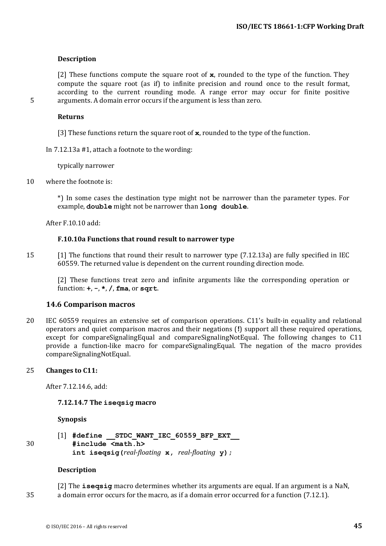### **Description**

[2] These functions compute the square root of **x**, rounded to the type of the function. They compute the square root (as if) to infinite precision and round once to the result format, according to the current rounding mode. A range error may occur for finite positive 5 arguments. A domain error occurs if the argument is less than zero.

#### **Returns**

[3] These functions return the square root of  $\boldsymbol{x}$ , rounded to the type of the function.

In  $7.12.13a$  #1, attach a footnote to the wording:

typically narrower

10 where the footnote is:

\*) In some cases the destination type might not be narrower than the parameter types. For example, **double** might not be narrower than long double.

After F.10.10 add:

#### **F.10.10a** Functions that round result to narrower type

15 [1] The functions that round their result to narrower type (7.12.13a) are fully specified in IEC 60559. The returned value is dependent on the current rounding direction mode.

[2] These functions treat zero and infinite arguments like the corresponding operation or function: **+**, **-**, **\***, **/**, **fma**, or **sqrt**.

#### **14.6 Comparison macros**

20 IEC 60559 requires an extensive set of comparison operations. C11's built-in equality and relational operators and quiet comparison macros and their negations (!) support all these required operations,  $\overline{e}$  except for compareSignalingEqual and compareSignalingNotEqual. The following changes to C11 provide a function-like macro for compareSignalingEqual. The negation of the macro provides compareSignalingNotEqual.

#### 25 **Changes** to C11:

After 7.12.14.6, add:

#### **7.12.14.7 The iseqsig macro**

#### **Synopsis**

[1] **#define \_\_STDC\_WANT\_IEC\_60559\_BFP\_EXT\_\_** 30 **#include <math.h> int iseqsig(***real-floating* **x,** *real-floating* **y);** 

#### **Description**

[2] The **iseqsiq** macro determines whether its arguments are equal. If an argument is a NaN, 35 a domain error occurs for the macro, as if a domain error occurred for a function (7.12.1).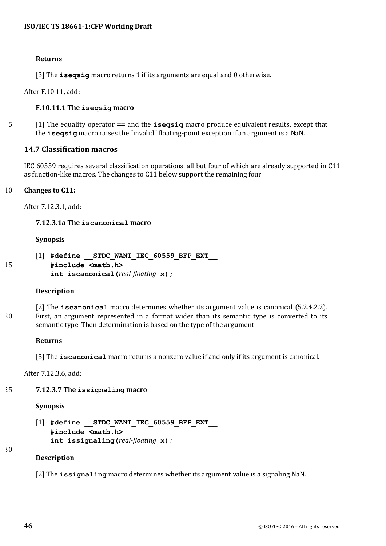#### **Returns**

[3] The **isegsig** macro returns 1 if its arguments are equal and 0 otherwise.

After F.10.11, add:

### **F.10.11.1 The iseqsig macro**

5 [1] The equality operator == and the **iseqsiq** macro produce equivalent results, except that the **isegsig** macro raises the "invalid" floating-point exception if an argument is a NaN.

# **14.7 Classification macros**

IEC 60559 requires several classification operations, all but four of which are already supported in C11 as function-like macros. The changes to C11 below support the remaining four.

#### 10 **Changes** to C11:

After 7.12.3.1, add:

### **7.12.3.1a The iscanonical macro**

#### **Synopsis**

[1] **#define \_\_STDC\_WANT\_IEC\_60559\_BFP\_EXT\_\_** 15 **#include <math.h> int iscanonical(***real-floating* **x);**

#### **Description**

[2] The **iscanonical** macro determines whether its argument value is canonical (5.2.4.2.2). 20 First, an argument represented in a format wider than its semantic type is converted to its semantic type. Then determination is based on the type of the argument.

#### **Returns**

[3] The **iscanonical** macro returns a nonzero value if and only if its argument is canonical.

After 7.12.3.6, add:

# 25 7.12.3.7 The issignaling macro

# **Synopsis**

```
[1] #define __STDC_WANT_IEC_60559_BFP_EXT__
   #include <math.h>

   int issignaling(real-floating x);
```
# 30

- **Description**
- [2] The **issignaling** macro determines whether its argument value is a signaling NaN.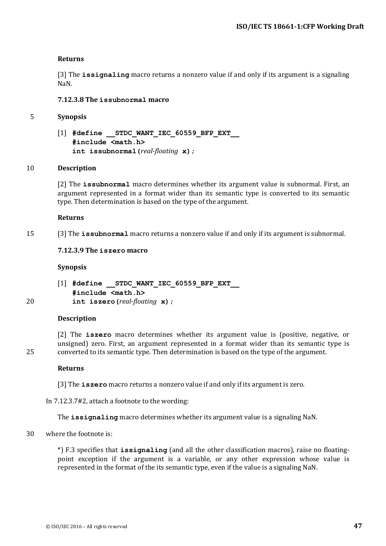#### **Returns**

[3] The **issignaling** macro returns a nonzero value if and only if its argument is a signaling NaN.

#### **7.12.3.8 The issubnormal macro**

#### 5 **Synopsis**

[1] **#define \_\_STDC\_WANT\_IEC\_60559\_BFP\_EXT\_\_ #include <math.h> int issubnormal(***real-floating* **x);**

#### 10 **Description**

[2] The **issubnormal** macro determines whether its argument value is subnormal. First, an argument represented in a format wider than its semantic type is converted to its semantic type. Then determination is based on the type of the argument.

#### **Returns**

15 [3] The **issubnormal** macro returns a nonzero value if and only if its argument is subnormal.

#### **7.12.3.9 The iszero macro**

#### **Synopsis**

[1] **#define \_\_STDC\_WANT\_IEC\_60559\_BFP\_EXT\_\_ #include <math.h>** 20 **int iszero(***real-floating* **x);**

# **Description**

[2] The **iszero** macro determines whether its argument value is (positive, negative, or unsigned) zero. First, an argument represented in a format wider than its semantic type is 25 converted to its semantic type. Then determination is based on the type of the argument.

#### **Returns**

[3] The **iszero** macro returns a nonzero value if and only if its argument is zero.

In 7.12.3.7#2, attach a footnote to the wording:

The **issignaling** macro determines whether its argument value is a signaling NaN.

#### $30$  where the footnote is:

\*) F.3 specifies that *issignaling* (and all the other classification macros), raise no floatingpoint exception if the argument is a variable, or any other expression whose value is represented in the format of the its semantic type, even if the value is a signaling NaN.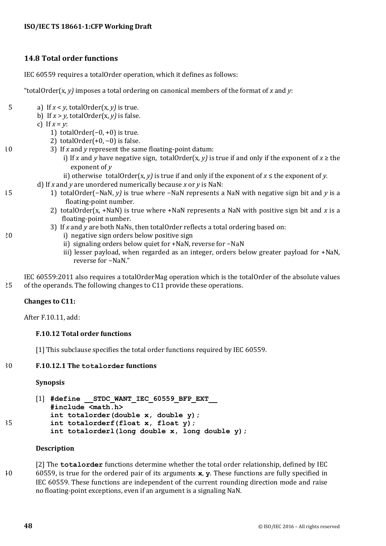# **14.8 Total order functions**

IEC 60559 requires a totalOrder operation, which it defines as follows:

"totalOrder(x,  $v$ ) imposes a total ordering on canonical members of the format of x and  $v$ :

- 5 a) If  $x < v$ , total Order $(x, v)$  is true.
	- b) If  $x > y$ , totalOrder(x, y) is false.

c) If  $x = y$ :

- 1) totalOrder(−0, +0) is true.
- 2) totalOrder(+0, -0) is false.
- 10 3) If *x* and *y* represent the same floating-point datum:
	- i) If *x* and *y* have negative sign, totalOrder(x, *y*) is true if and only if the exponent of  $x \geq$  the exponent of *v*
	- ii) otherwise totalOrder(x, y) is true if and only if the exponent of  $x \leq$  the exponent of y.
	- d) If *x* and *y* are unordered numerically because *x* or *y* is NaN:
- 15 15 1) totalOrder(−NaN, *y*) is true where -NaN represents a NaN with negative sign bit and *y* is a floating-point number.
	- 2) totalOrder(x, +NaN) is true where +NaN represents a NaN with positive sign bit and  $x$  is a floating-point number.
	- 3) If *x* and *y* are both NaNs, then totalOrder reflects a total ordering based on:
- 20 i) negative sign orders below positive sign
	- ii) signaling orders below quiet for +NaN, reverse for -NaN
	- iii) lesser payload, when regarded as an integer, orders below greater payload for  $+NAN$ , reverse for -NaN."

IEC 60559:2011 also requires a totalOrderMag operation which is the totalOrder of the absolute values 25 of the operands. The following changes to  $C11$  provide these operations.

#### **Changes** to C11:

After F.10.11, add:

# **F.10.12 Total order functions**

[1] This subclause specifies the total order functions required by IEC 60559.

# 30 **F.10.12.1 The totalorder functions**

#### **Synopsis**

```
[1] #define __STDC_WANT_IEC_60559_BFP_EXT__
          #include <math.h>
          int totalorder(double x, double y);
35 int totalorderf(float x, float y);
          int totalorderl(long double x, long double y);
```
#### **Description**

[2] The **totalorder** functions determine whether the total order relationship, defined by IEC 40 60559, is true for the ordered pair of its arguments **x**, **y**. These functions are fully specified in IEC 60559. These functions are independent of the current rounding direction mode and raise no floating-point exceptions, even if an argument is a signaling NaN.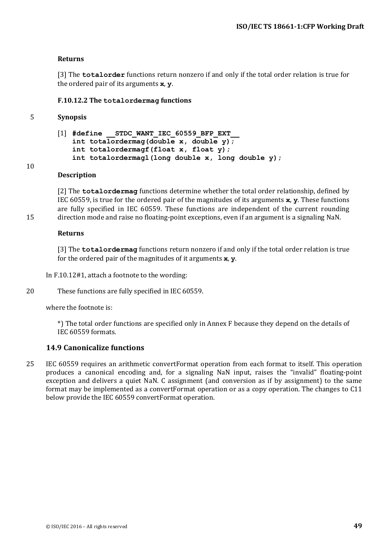#### **Returns**

[3] The **totalorder** functions return nonzero if and only if the total order relation is true for the ordered pair of its arguments **x**, **v**.

#### **F.10.12.2 The totalordermag functions**

#### 5 **Synopsis**

```
[1] #define STDC WANT IEC 60559 BFP EXT
   int totalordermag(double x, double y);
   int totalordermagf(float x, float y);
   int totalordermagl(long double x, long double y);
```
# 10

# **Description**

[2] The **totalordermag** functions determine whether the total order relationship, defined by IEC 60559, is true for the ordered pair of the magnitudes of its arguments  $x$ ,  $y$ . These functions are fully specified in IEC 60559. These functions are independent of the current rounding 15 direction mode and raise no floating-point exceptions, even if an argument is a signaling NaN.

#### **Returns**

[3] The **totalordermag** functions return nonzero if and only if the total order relation is true for the ordered pair of the magnitudes of it arguments x, y.

In  $F.10.12#1$ , attach a footnote to the wording:

20 These functions are fully specified in IEC 60559.

where the footnote is:

\*) The total order functions are specified only in Annex F because they depend on the details of IEC 60559 formats.

#### **14.9 Canonicalize functions**

25 IEC 60559 requires an arithmetic convertFormat operation from each format to itself. This operation produces a canonical encoding and, for a signaling NaN input, raises the "invalid" floating-point exception and delivers a quiet NaN. C assignment (and conversion as if by assignment) to the same format may be implemented as a convertFormat operation or as a copy operation. The changes to  $C11$ below provide the IEC 60559 convertFormat operation.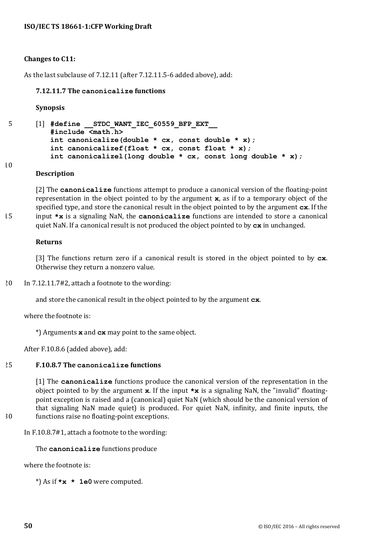# **Changes** to C11:

As the last subclause of 7.12.11 (after 7.12.11.5-6 added above), add:

#### **7.12.11.7 The canonicalize functions**

**Synopsis**

```
5 [1] #define __STDC_WANT_IEC_60559_BFP_EXT__
         #include <math.h>
         int canonicalize(double * cx, const double * x);
         int canonicalizef(float * cx, const float * x);
         int canonicalizel(long double * cx, const long double * x);
```
#### 10

#### **Description**

[2] The **canonicalize** functions attempt to produce a canonical version of the floating-point representation in the object pointed to by the argument **x**, as if to a temporary object of the specified type, and store the canonical result in the object pointed to by the argument  $c\mathbf{x}$ . If the 15 input **\*x** is a signaling NaN, the **canonicalize** functions are intended to store a canonical quiet NaN. If a canonical result is not produced the object pointed to by  $c\mathbf{x}$  in unchanged.

#### **Returns**

[3] The functions return zero if a canonical result is stored in the object pointed to by  $c\mathbf{x}$ . Otherwise they return a nonzero value.

 $20$  In  $7.12.11.7#2$ , attach a footnote to the wording:

and store the canonical result in the object pointed to by the argument  $cx$ .

where the footnote is:

\*) Arguments **x** and **cx** may point to the same object.

After F.10.8.6 (added above), add:

# 25 **F.10.8.7 The canonicalize functions**

[1] The **canonicalize** functions produce the canonical version of the representation in the object pointed to by the argument **x**. If the input **\*x** is a signaling NaN, the "invalid" floatingpoint exception is raised and a (canonical) quiet NaN (which should be the canonical version of that signaling NaN made quiet) is produced. For quiet NaN, infinity, and finite inputs, the 30 functions raise no floating-point exceptions.

In  $F.10.8.7#1$ , attach a footnote to the wording:

The **canonicalize** functions produce

where the footnote is:

\*) As if **\*x \* 1e0** were computed.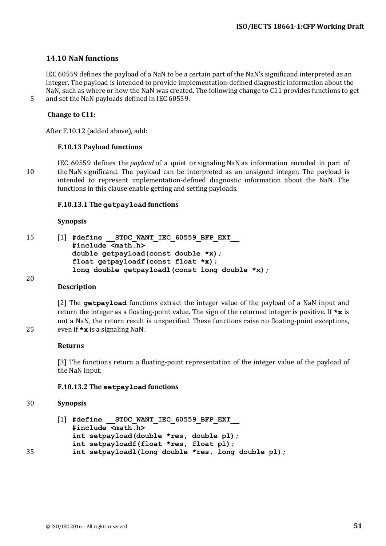# **14.10 NaN functions**

IEC 60559 defines the payload of a NaN to be a certain part of the NaN's significand interpreted as an integer. The payload is intended to provide implementation-defined diagnostic information about the NaN, such as where or how the NaN was created. The following change to C11 provides functions to get 5 and set the NaN payloads defined in IEC 60559.

#### **Change to C11:**

After F.10.12 (added above), add:

#### **F.10.13 Payload functions**

IEC 60559 defines the *payload* of a quiet or signaling NaN as information encoded in part of 10 the NaN significand. The payload can be interpreted as an unsigned integer. The payload is intended to represent implementation-defined diagnostic information about the NaN. The functions in this clause enable getting and setting payloads.

#### **F.10.13.1 The getpayload functions**

#### **Synopsis**

|  | $\begin{bmatrix} 1 \end{bmatrix}$ #define STDC WANT IEC 60559 BFP EXT |
|--|-----------------------------------------------------------------------|
|  | $#include$ $\timesmath.h>$                                            |
|  | double getpayload (const double $*x$ );                               |
|  | float getpayloadf (const float $*x$ );                                |
|  | long double getpayloadl (const long double *x);                       |
|  |                                                                       |

#### 20

#### **Description**

[2] The **getpayload** functions extract the integer value of the payload of a NaN input and return the integer as a floating-point value. The sign of the returned integer is positive. If  $\star$ **x** is not a NaN, the return result is unspecified. These functions raise no floating-point exceptions, 25 even if  $\star$ **x** is a signaling NaN.

#### **Returns**

[3] The functions return a floating-point representation of the integer value of the payload of the NaN input.

#### **F.10.13.2 The setpayload functions**

#### 30 **Synopsis**

|    |  | $\begin{bmatrix} 1 \end{bmatrix}$ #define STDC WANT IEC 60559 BFP EXT |
|----|--|-----------------------------------------------------------------------|
|    |  | #include <math.h></math.h>                                            |
|    |  | int setpayload(double $*res$ , double pl);                            |
|    |  | int setpayloadf(float *res, float $p$ 1);                             |
| 35 |  | int setpayloadl(long double *res, long double pl);                    |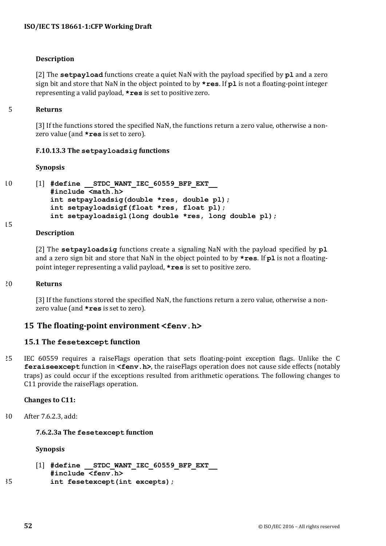# **Description**

[2] The **setpayload** functions create a quiet NaN with the payload specified by **pl** and a zero sign bit and store that NaN in the object pointed to by **\*res**. If **pl** is not a floating-point integer representing a valid payload, **\*res** is set to positive zero.

# 5 **Returns**

[3] If the functions stored the specified NaN, the functions return a zero value, otherwise a nonzero value (and **\*res** is set to zero).

### **F.10.13.3 The setpayloadsig functions**

#### **Synopsis**

```
10 [1] #define __STDC_WANT_IEC_60559_BFP_EXT__
          #include <math.h>
          int setpayloadsig(double *res, double pl);
          int setpayloadsigf(float *res, float pl);
          int setpayloadsigl(long double *res, long double pl);
```
#### 15

#### **Description**

[2] The **setpayloadsig** functions create a signaling NaN with the payload specified by  $p1$ and a zero sign bit and store that NaN in the object pointed to by  $\star$ **res**. If **pl** is not a floatingpoint integer representing a valid payload, **\*res** is set to positive zero.

#### 20 **Returns**

[3] If the functions stored the specified NaN, the functions return a zero value, otherwise a nonzero value (and **\*res** is set to zero).

# **15** The floating-point environment <fenv.h>

# **15.1 The fesetexcept function**

25 IEC 60559 requires a raiseFlags operation that sets floating-point exception flags. Unlike the C **feraiseexcept** function in <**fenv.h>**, the raiseFlags operation does not cause side effects (notably traps) as could occur if the exceptions resulted from arithmetic operations. The following changes to C11 provide the raiseFlags operation.

#### **Changes** to C11:

30 After 7.6.2.3, add:

#### **7.6.2.3a The fesetexcept function**

**Synopsis**

```
[1] #define __STDC_WANT_IEC_60559_BFP_EXT__
         #include <fenv.h>
35 int fesetexcept(int excepts);
```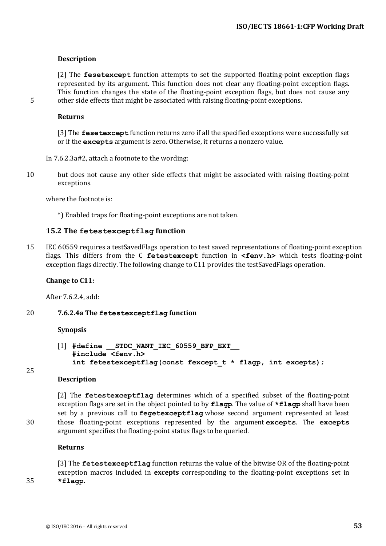# **Description**

[2] The **fesetexcept** function attempts to set the supported floating-point exception flags represented by its argument. This function does not clear any floating-point exception flags. This function changes the state of the floating-point exception flags, but does not cause any 5 other side effects that might be associated with raising floating-point exceptions.

#### **Returns**

[3] The **fesetexcept** function returns zero if all the specified exceptions were successfully set or if the **excepts** argument is zero. Otherwise, it returns a nonzero value.

In  $7.6.2.3a\#2$ , attach a footnote to the wording:

10 but does not cause any other side effects that might be associated with raising floating-point exceptions.

where the footnote is:

\*) Enabled traps for floating-point exceptions are not taken.

### 15.2 The fetestexceptflag function

15 IEC 60559 requires a testSavedFlags operation to test saved representations of floating-point exception flags. This differs from the C fetestexcept function in **<fenv.h>** which tests floating-point exception flags directly. The following change to C11 provides the testSavedFlags operation.

#### **Change to C11:**

After 7.6.2.4, add:

#### 20 7.6.2.4a The fetestexceptflag function

#### **Synopsis**

```
[1] #define STDC WANT IEC 60559 BFP EXT
   #include <fenv.h>
   int fetestexceptflag(const fexcept_t * flagp, int excepts);
```
#### 25

#### **Description**

[2] The **fetestexceptflag** determines which of a specified subset of the floating-point exception flags are set in the object pointed to by  $\text{flagp}$ . The value of  $\text{*flagp}$  shall have been set by a previous call to **fegetexceptflag** whose second argument represented at least 30 those floating-point exceptions represented by the argument **excepts**. The **excepts** argument specifies the floating-point status flags to be queried.

#### **Returns**

[3] The **fetestexceptflag** function returns the value of the bitwise OR of the floating-point exception macros included in **excepts** corresponding to the floating-point exceptions set in 35 **\*flagp.**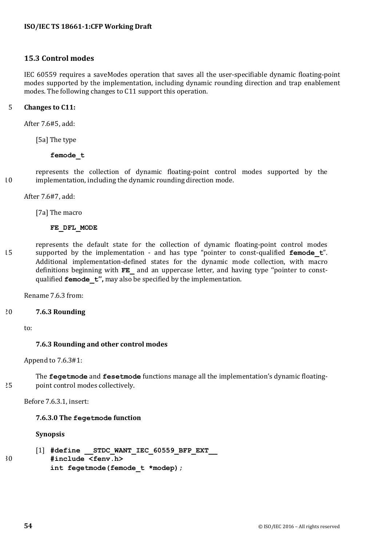# **15.3 Control modes**

IEC 60559 requires a saveModes operation that saves all the user-specifiable dynamic floating-point modes supported by the implementation, including dynamic rounding direction and trap enablement modes. The following changes to C11 support this operation.

# 5 **Changes** to C11:

After 7.6#5, add:

[5a] The type

# **femode\_t**

represents the collection of dynamic floating-point control modes supported by the 10 implementation, including the dynamic rounding direction mode.

After 7.6#7, add:

[7a] The macro

# **FE\_DFL\_MODE**

represents the default state for the collection of dynamic floating-point control modes 15 supported by the implementation - and has type "pointer to const-qualified **femode t**". Additional implementation-defined states for the dynamic mode collection, with macro definitions beginning with **FE** and an uppercase letter, and having type "pointer to constqualified **femode t''**, may also be specified by the implementation.

Rename 7.6.3 from:

# 20 **7.6.3 Rounding**

to:

# **7.6.3 Rounding and other control modes**

Append to  $7.6.3#1$ :

The **fegetmode** and **fesetmode** functions manage all the implementation's dynamic floating-25 point control modes collectively.

Before 7.6.3.1, insert:

### **7.6.3.0 The fegetmode function**

**Synopsis**

|    | $\begin{bmatrix} 1 \end{bmatrix}$ #define STDC WANT IEC 60559 BFP EXT |  |  |  |  |
|----|-----------------------------------------------------------------------|--|--|--|--|
| 30 | #include <fenv.h></fenv.h>                                            |  |  |  |  |
|    | int fegetmode (femode $t * mode$ );                                   |  |  |  |  |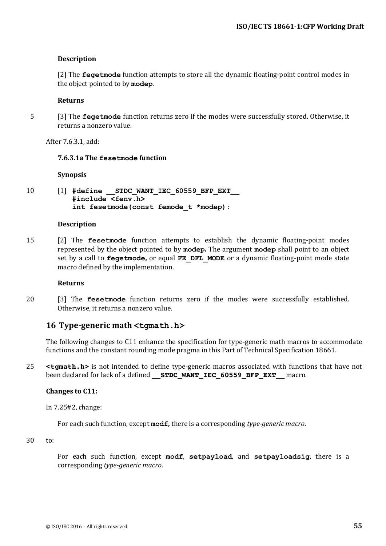### **Description**

[2] The **fegetmode** function attempts to store all the dynamic floating-point control modes in the object pointed to by modep.

#### **Returns**

5 [3] The **fegetmode** function returns zero if the modes were successfully stored. Otherwise, it returns a nonzero value.

After 7.6.3.1, add:

#### **7.6.3.1a** The fesetmode function

#### **Synopsis**

10 [1] **#define \_\_STDC\_WANT\_IEC\_60559\_BFP\_EXT\_\_ #include <fenv.h> int fesetmode(const femode\_t \*modep);**

#### **Description**

15 [2] The **fesetmode** function attempts to establish the dynamic floating-point modes represented by the object pointed to by modep. The argument modep shall point to an object set by a call to fegetmode, or equal FE DFL MODE or a dynamic floating-point mode state macro defined by the implementation.

#### **Returns**

20 [3] The **fesetmode** function returns zero if the modes were successfully established. Otherwise, it returns a nonzero value.

# **16 Type-generic math <tgmath.h>**

The following changes to C11 enhance the specification for type-generic math macros to accommodate functions and the constant rounding mode pragma in this Part of Technical Specification 18661.

25  $\prec$ **tgmath.h**> is not intended to define type-generic macros associated with functions that have not been declared for lack of a defined **STDC WANT IEC 60559 BFP EXT** macro.

#### **Changes to C11:**

In 7.25#2, change:

For each such function, except **modf**, there is a corresponding *type-generic macro*.

30 to:

For each such function, except modf, setpayload, and setpayloadsig, there is a corresponding *type-generic macro*.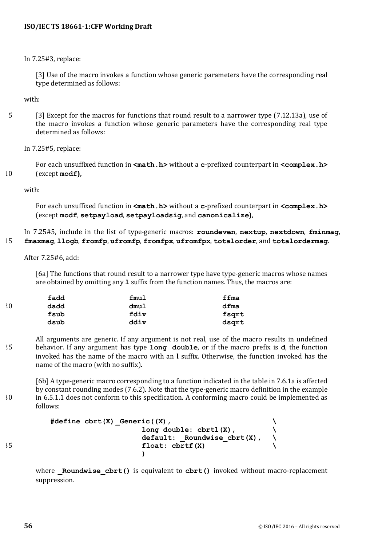## **ISO/IEC TS 18661-1:CFP Working Draft**

#### In 7.25#3, replace:

[3] Use of the macro invokes a function whose generic parameters have the corresponding real type determined as follows:

with:

5 [3] Except for the macros for functions that round result to a narrower type (7.12.13a), use of the macro invokes a function whose generic parameters have the corresponding real type determined as follows:

### In 7.25#5, replace:

For each unsuffixed function in **<math.h>** without a **c**-prefixed counterpart in **<complex.h>** 10 (except **modf),**

#### with:

For each unsuffixed function in **<math.h>** without a **c**-prefixed counterpart in **<complex.h>** (except **modf**, **setpayload**, **setpayloadsig**, and **canonicalize**),

In 7.25#5, include in the list of type-generic macros: **roundeven**, nextup, nextdown, fminmag, 15 **fmaxmag**, **llogb**, **fromfp**, **ufromfp**, **fromfpx**, **ufromfpx**, **totalorder**, and **totalordermag**.

#### After 7.25#6, add:

[6a] The functions that round result to a narrower type have type-generic macros whose names are obtained by omitting any  $\bf{1}$  suffix from the function names. Thus, the macros are:

|    | fadd | fmul | ffma  |
|----|------|------|-------|
| 20 | dadd | dmul | dfma  |
|    | fsub | fdiv | fsart |
|    | dsub | ddiv | dsgrt |

All arguments are generic. If any argument is not real, use of the macro results in undefined 25 behavior. If any argument has type **long double**, or if the macro prefix is **d**, the function invoked has the name of the macro with an I suffix. Otherwise, the function invoked has the name of the macro (with no suffix).

[6b] A type-generic macro corresponding to a function indicated in the table in 7.6.1a is affected by constant rounding modes (7.6.2). Note that the type-generic macro definition in the example 30 in 6.5.1.1 does not conform to this specification. A conforming macro could be implemented as follows:

|    | #define $cbrt(X)$ Generic( $(X)$ , |                                  |  |
|----|------------------------------------|----------------------------------|--|
|    |                                    | long double: cbrtl(X),           |  |
|    |                                    | $default:$ Roundwise $cbrt(X)$ , |  |
| 35 |                                    | float: $cbrtf(X)$                |  |
|    |                                    |                                  |  |

where **Roundwise cbrt()** is equivalent to **cbrt()** invoked without macro-replacement suppression.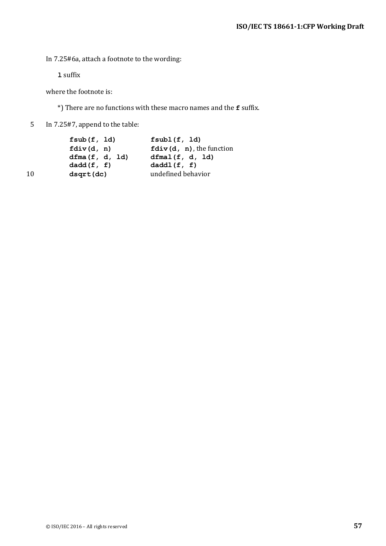In 7.25#6a, attach a footnote to the wording:

**l** suffix

where the footnote is:

\*) There are no functions with these macro names and the **f** suffix.

5 In 7.25#7, append to the table:

|    | fsub(f, 1d)       | fsub1(f, 1d)                         |
|----|-------------------|--------------------------------------|
|    | fdiv $(d, n)$     | $\texttt{fdiv}(d, n)$ , the function |
|    | dfma $(f, d, Id)$ | dfmal(f, d, 1d)                      |
|    | dadd(f, f)        | daddl(f, f)                          |
| 10 | dsqrt(dc)         | undefined behavior                   |